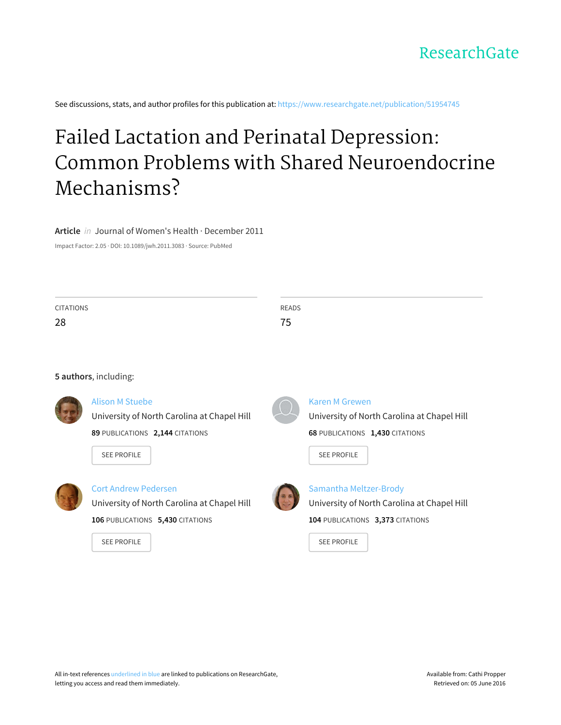See discussions, stats, and author profiles for this publication at: [https://www.researchgate.net/publication/51954745](https://www.researchgate.net/publication/51954745_Failed_Lactation_and_Perinatal_Depression_Common_Problems_with_Shared_Neuroendocrine_Mechanisms?enrichId=rgreq-9c536cbd-fa9f-496e-bb7b-8646c579ffd6&enrichSource=Y292ZXJQYWdlOzUxOTU0NzQ1O0FTOjEwMTkyMzY4ODU1MDQwN0AxNDAxMzExOTA5NzI0&el=1_x_2)

# Failed Lactation and Perinatal Depression: Common Problems with Shared [Neuroendocrine](https://www.researchgate.net/publication/51954745_Failed_Lactation_and_Perinatal_Depression_Common_Problems_with_Shared_Neuroendocrine_Mechanisms?enrichId=rgreq-9c536cbd-fa9f-496e-bb7b-8646c579ffd6&enrichSource=Y292ZXJQYWdlOzUxOTU0NzQ1O0FTOjEwMTkyMzY4ODU1MDQwN0AxNDAxMzExOTA5NzI0&el=1_x_3) Mechanisms?

**Article** in Journal of Women's Health · December 2011

Impact Factor: 2.05 · DOI: 10.1089/jwh.2011.3083 · Source: PubMed

| <b>CITATIONS</b> |                                             | <b>READS</b> |                                             |
|------------------|---------------------------------------------|--------------|---------------------------------------------|
| 28               |                                             | 75           |                                             |
|                  |                                             |              |                                             |
|                  | 5 authors, including:                       |              |                                             |
|                  | <b>Alison M Stuebe</b>                      |              | Karen M Grewen                              |
|                  | University of North Carolina at Chapel Hill |              | University of North Carolina at Chapel Hill |
|                  | 89 PUBLICATIONS 2,144 CITATIONS             |              | 68 PUBLICATIONS 1,430 CITATIONS             |
|                  | <b>SEE PROFILE</b>                          |              | <b>SEE PROFILE</b>                          |
|                  | <b>Cort Andrew Pedersen</b>                 |              | Samantha Meltzer-Brody                      |
|                  | University of North Carolina at Chapel Hill |              | University of North Carolina at Chapel Hill |
|                  | 106 PUBLICATIONS 5,430 CITATIONS            |              | 104 PUBLICATIONS 3,373 CITATIONS            |
|                  | <b>SEE PROFILE</b>                          |              | <b>SEE PROFILE</b>                          |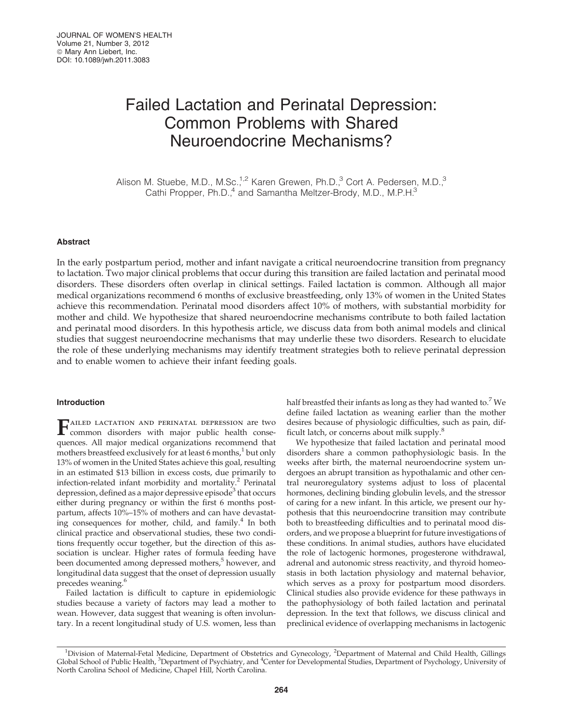# Failed Lactation and Perinatal Depression: Common Problems with Shared Neuroendocrine Mechanisms?

Alison M. Stuebe, M.D., M.Sc.<sup>1,2</sup> Karen Grewen, Ph.D.,<sup>3</sup> Cort A. Pedersen, M.D.,<sup>3</sup> Cathi Propper, Ph.D.,<sup>4</sup> and Samantha Meltzer-Brody, M.D., M.P.H.<sup>3</sup>

# Abstract

In the early postpartum period, mother and infant navigate a critical neuroendocrine transition from pregnancy to lactation. Two major clinical problems that occur during this transition are failed lactation and perinatal mood disorders. These disorders often overlap in clinical settings. Failed lactation is common. Although all major medical organizations recommend 6 months of exclusive breastfeeding, only 13% of women in the United States achieve this recommendation. Perinatal mood disorders affect 10% of mothers, with substantial morbidity for mother and child. We hypothesize that shared neuroendocrine mechanisms contribute to both failed lactation and perinatal mood disorders. In this hypothesis article, we discuss data from both animal models and clinical studies that suggest neuroendocrine mechanisms that may underlie these two disorders. Research to elucidate the role of these underlying mechanisms may identify treatment strategies both to relieve perinatal depression and to enable women to achieve their infant feeding goals.

# Introduction

FAILED LACTATION AND PERINATAL DEPRESSION are two<br>common disorders with major public health consequences. All major medical organizations recommend that mothers breastfeed exclusively for at least 6 months, $1$  but only 13% of women in the United States achieve this goal, resulting in an estimated \$13 billion in excess costs, due primarily to infection-related infant morbidity and mortality.<sup>2</sup> Perinatal depression, defined as a major depressive episode<sup>3</sup> that occurs either during pregnancy or within the first 6 months postpartum, affects 10%–15% of mothers and can have devastating consequences for mother, child, and family. $4$  In both clinical practice and observational studies, these two conditions frequently occur together, but the direction of this association is unclear. Higher rates of formula feeding have been documented among depressed mothers,<sup>5</sup> however, and longitudinal data suggest that the onset of depression usually precedes weaning.<sup>6</sup>

Failed lactation is difficult to capture in epidemiologic studies because a variety of factors may lead a mother to wean. However, data suggest that weaning is often involuntary. In a recent longitudinal study of U.S. women, less than half breastfed their infants as long as they had wanted to.<sup>7</sup> We define failed lactation as weaning earlier than the mother desires because of physiologic difficulties, such as pain, difficult latch, or concerns about milk supply.<sup>8</sup>

We hypothesize that failed lactation and perinatal mood disorders share a common pathophysiologic basis. In the weeks after birth, the maternal neuroendocrine system undergoes an abrupt transition as hypothalamic and other central neuroregulatory systems adjust to loss of placental hormones, declining binding globulin levels, and the stressor of caring for a new infant. In this article, we present our hypothesis that this neuroendocrine transition may contribute both to breastfeeding difficulties and to perinatal mood disorders, and we propose a blueprint for future investigations of these conditions. In animal studies, authors have elucidated the role of lactogenic hormones, progesterone withdrawal, adrenal and autonomic stress reactivity, and thyroid homeostasis in both lactation physiology and maternal behavior, which serves as a proxy for postpartum mood disorders. Clinical studies also provide evidence for these pathways in the pathophysiology of both failed lactation and perinatal depression. In the text that follows, we discuss clinical and preclinical evidence of overlapping mechanisms in lactogenic

<sup>&</sup>lt;sup>1</sup>Division of Maternal-Fetal Medicine, Department of Obstetrics and Gynecology, <sup>2</sup>Department of Maternal and Child Health, Gillings Global School of Public Health, <sup>3</sup>Department of Psychiatry, and <sup>4</sup>Center for Developmental Studies, Department of Psychology, University of North Carolina School of Medicine, Chapel Hill, North Carolina.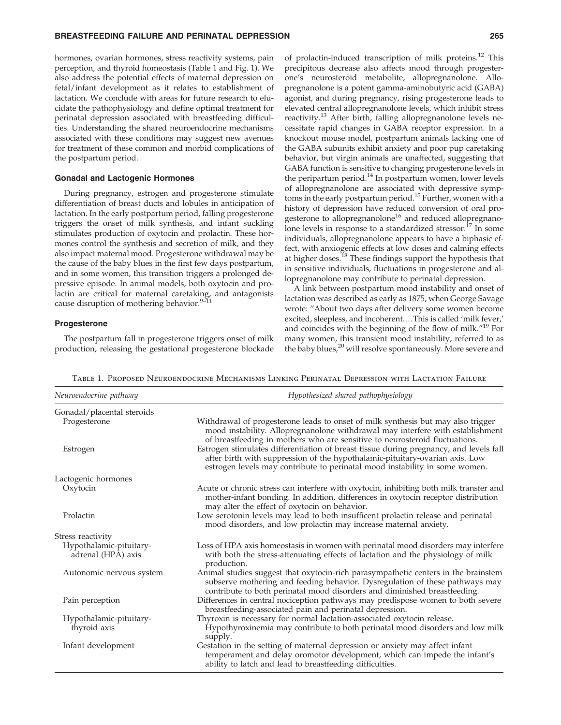hormones, ovarian hormones, stress reactivity systems, pain perception, and thyroid homeostasis (Table 1 and Fig. 1). We also address the potential effects of maternal depression on fetal/infant development as it relates to establishment of lactation. We conclude with areas for future research to elucidate the pathophysiology and define optimal treatment for perinatal depression associated with breastfeeding difficulties. Understanding the shared neuroendocrine mechanisms associated with these conditions may suggest new avenues for treatment of these common and morbid complications of the postpartum period.

#### Gonadal and Lactogenic Hormones

During pregnancy, estrogen and progesterone stimulate differentiation of breast ducts and lobules in anticipation of lactation. In the early postpartum period, falling progesterone triggers the onset of milk synthesis, and infant suckling stimulates production of oxytocin and prolactin. These hormones control the synthesis and secretion of milk, and they also impact maternal mood. Progesterone withdrawal may be the cause of the baby blues in the first few days postpartum, and in some women, this transition triggers a prolonged depressive episode. In animal models, both oxytocin and prolactin are critical for maternal caretaking, and antagonists cause disruption of mothering behavior.<sup>9–11</sup>

#### Progesterone

The postpartum fall in progesterone triggers onset of milk production, releasing the gestational progesterone blockade of prolactin-induced transcription of milk proteins.<sup>12</sup> This precipitous decrease also affects mood through progesterone's neurosteroid metabolite, allopregnanolone. Allopregnanolone is a potent gamma-aminobutyric acid (GABA) agonist, and during pregnancy, rising progesterone leads to elevated central allopregnanolone levels, which inhibit stress reactivity.<sup>13</sup> After birth, falling allopregnanolone levels necessitate rapid changes in GABA receptor expression. In a knockout mouse model, postpartum animals lacking one of the GABA subunits exhibit anxiety and poor pup caretaking behavior, but virgin animals are unaffected, suggesting that GABA function is sensitive to changing progesterone levels in the peripartum period.<sup>14</sup> In postpartum women, lower levels of allopregnanolone are associated with depressive symptoms in the early postpartum period.<sup>15</sup> Further, women with a history of depression have reduced conversion of oral progesterone to allopregnanolone<sup>16</sup> and reduced allopregnanolone levels in response to a standardized stressor.<sup>17</sup> In some individuals, allopregnanolone appears to have a biphasic effect, with anxiogenic effects at low doses and calming effects at higher doses.<sup>18</sup> These findings support the hypothesis that in sensitive individuals, fluctuations in progesterone and allopregnanolone may contribute to perinatal depression.

A link between postpartum mood instability and onset of lactation was described as early as 1875, when George Savage wrote: ''About two days after delivery some women become excited, sleepless, and incoherent....This is called 'milk fever,' and coincides with the beginning of the flow of milk."<sup>19</sup> For many women, this transient mood instability, referred to as the baby blues,<sup>20</sup> will resolve spontaneously. More severe and

Table 1. Proposed Neuroendocrine Mechanisms Linking Perinatal Depression with Lactation Failure

| Neuroendocrine pathway                        | Hypothesized shared pathophysiology                                                                                                                                                                                                                   |  |  |
|-----------------------------------------------|-------------------------------------------------------------------------------------------------------------------------------------------------------------------------------------------------------------------------------------------------------|--|--|
| Gonadal/placental steroids                    |                                                                                                                                                                                                                                                       |  |  |
| Progesterone                                  | Withdrawal of progesterone leads to onset of milk synthesis but may also trigger<br>mood instability. Allopregnanolone withdrawal may interfere with establishment<br>of breastfeeding in mothers who are sensitive to neurosteroid fluctuations.     |  |  |
| Estrogen                                      | Estrogen stimulates differentiation of breast tissue during pregnancy, and levels fall<br>after birth with suppression of the hypothalamic-pituitary-ovarian axis. Low<br>estrogen levels may contribute to perinatal mood instability in some women. |  |  |
| Lactogenic hormones                           |                                                                                                                                                                                                                                                       |  |  |
| Oxytocin                                      | Acute or chronic stress can interfere with oxytocin, inhibiting both milk transfer and<br>mother-infant bonding. In addition, differences in oxytocin receptor distribution<br>may alter the effect of oxytocin on behavior.                          |  |  |
| Prolactin                                     | Low serotonin levels may lead to both insufficent prolactin release and perinatal<br>mood disorders, and low prolactin may increase maternal anxiety.                                                                                                 |  |  |
| Stress reactivity                             |                                                                                                                                                                                                                                                       |  |  |
| Hypothalamic-pituitary-<br>adrenal (HPA) axis | Loss of HPA axis homeostasis in women with perinatal mood disorders may interfere<br>with both the stress-attenuating effects of lactation and the physiology of milk<br>production.                                                                  |  |  |
| Autonomic nervous system                      | Animal studies suggest that oxytocin-rich parasympathetic centers in the brainstem<br>subserve mothering and feeding behavior. Dysregulation of these pathways may<br>contribute to both perinatal mood disorders and diminished breastfeeding.       |  |  |
| Pain perception                               | Differences in central nociception pathways may predispose women to both severe<br>breastfeeding-associated pain and perinatal depression.                                                                                                            |  |  |
| Hypothalamic-pituitary-<br>thyroid axis       | Thyroxin is necessary for normal lactation-associated oxytocin release.<br>Hypothyroxinemia may contribute to both perinatal mood disorders and low milk<br>supply.                                                                                   |  |  |
| Infant development                            | Gestation in the setting of maternal depression or anxiety may affect infant<br>temperament and delay oromotor development, which can impede the infant's<br>ability to latch and lead to breastfeeding difficulties.                                 |  |  |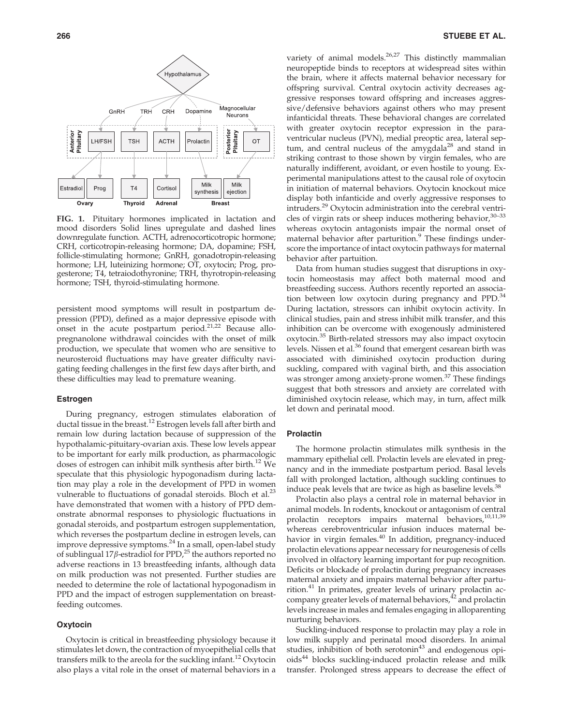

FIG. 1. Pituitary hormones implicated in lactation and mood disorders Solid lines upregulate and dashed lines downregulate function. ACTH, adrenocorticotropic hormone; CRH, corticotropin-releasing hormone; DA, dopamine; FSH, follicle-stimulating hormone; GnRH, gonadotropin-releasing hormone; LH, luteinizing hormone; OT, oxytocin; Prog, progesterone; T4, tetraiodothyronine; TRH, thyrotropin-releasing hormone; TSH, thyroid-stimulating hormone.

persistent mood symptoms will result in postpartum depression (PPD), defined as a major depressive episode with onset in the acute postpartum period.21,22 Because allopregnanolone withdrawal coincides with the onset of milk production, we speculate that women who are sensitive to neurosteroid fluctuations may have greater difficulty navigating feeding challenges in the first few days after birth, and these difficulties may lead to premature weaning.

## Estrogen

During pregnancy, estrogen stimulates elaboration of ductal tissue in the breast.<sup>12</sup> Estrogen levels fall after birth and remain low during lactation because of suppression of the hypothalamic-pituitary-ovarian axis. These low levels appear to be important for early milk production, as pharmacologic doses of estrogen can inhibit milk synthesis after birth.<sup>12</sup> We speculate that this physiologic hypogonadism during lactation may play a role in the development of PPD in women vulnerable to fluctuations of gonadal steroids. Bloch et al. $^{23}$ have demonstrated that women with a history of PPD demonstrate abnormal responses to physiologic fluctuations in gonadal steroids, and postpartum estrogen supplementation, which reverses the postpartum decline in estrogen levels, can improve depressive symptoms.<sup>24</sup> In a small, open-label study of sublingual 17 $\beta$ -estradiol for PPD,<sup>25</sup> the authors reported no adverse reactions in 13 breastfeeding infants, although data on milk production was not presented. Further studies are needed to determine the role of lactational hypogonadism in PPD and the impact of estrogen supplementation on breastfeeding outcomes.

# **Oxytocin**

Oxytocin is critical in breastfeeding physiology because it stimulates let down, the contraction of myoepithelial cells that transfers milk to the areola for the suckling infant.<sup>12</sup> Oxytocin also plays a vital role in the onset of maternal behaviors in a

variety of animal models. $26,27$  This distinctly mammalian neuropeptide binds to receptors at widespread sites within the brain, where it affects maternal behavior necessary for offspring survival. Central oxytocin activity decreases aggressive responses toward offspring and increases aggressive/defensive behaviors against others who may present infanticidal threats. These behavioral changes are correlated with greater oxytocin receptor expression in the paraventricular nucleus (PVN), medial preoptic area, lateral septum, and central nucleus of the amygdala<sup>28</sup> and stand in striking contrast to those shown by virgin females, who are naturally indifferent, avoidant, or even hostile to young. Experimental manipulations attest to the causal role of oxytocin in initiation of maternal behaviors. Oxytocin knockout mice display both infanticide and overly aggressive responses to intruders.<sup>29</sup> Oxytocin administration into the cerebral ventricles of virgin rats or sheep induces mothering behavior,  $30-33$ whereas oxytocin antagonists impair the normal onset of maternal behavior after parturition.<sup>9</sup> These findings underscore the importance of intact oxytocin pathways for maternal behavior after partuition.

Data from human studies suggest that disruptions in oxytocin homeostasis may affect both maternal mood and breastfeeding success. Authors recently reported an association between low oxytocin during pregnancy and  $PPD<sup>34</sup>$ During lactation, stressors can inhibit oxytocin activity. In clinical studies, pain and stress inhibit milk transfer, and this inhibition can be overcome with exogenously administered oxytocin.<sup>35</sup> Birth-related stressors may also impact oxytocin levels. Nissen et al.<sup>36</sup> found that emergent cesarean birth was associated with diminished oxytocin production during suckling, compared with vaginal birth, and this association was stronger among anxiety-prone women.<sup>37</sup> These findings suggest that both stressors and anxiety are correlated with diminished oxytocin release, which may, in turn, affect milk let down and perinatal mood.

#### Prolactin

The hormone prolactin stimulates milk synthesis in the mammary epithelial cell. Prolactin levels are elevated in pregnancy and in the immediate postpartum period. Basal levels fall with prolonged lactation, although suckling continues to induce peak levels that are twice as high as baseline levels.<sup>38</sup>

Prolactin also plays a central role in maternal behavior in animal models. In rodents, knockout or antagonism of central prolactin receptors impairs maternal behaviors,<sup>10,11,39</sup> whereas cerebroventricular infusion induces maternal behavior in virgin females.<sup>40</sup> In addition, pregnancy-induced prolactin elevations appear necessary for neurogenesis of cells involved in olfactory learning important for pup recognition. Deficits or blockade of prolactin during pregnancy increases maternal anxiety and impairs maternal behavior after parturition. $41$  In primates, greater levels of urinary prolactin accompany greater levels of maternal behaviors,<sup>42</sup> and prolactin levels increase in males and females engaging in alloparenting nurturing behaviors.

Suckling-induced response to prolactin may play a role in low milk supply and perinatal mood disorders. In animal studies, inhibition of both serotonin<sup>43</sup> and endogenous opioids<sup>44</sup> blocks suckling-induced prolactin release and milk transfer. Prolonged stress appears to decrease the effect of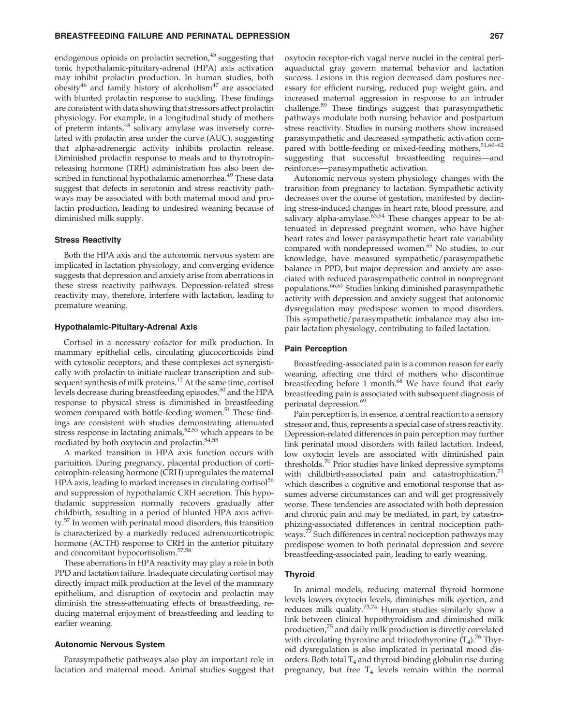endogenous opioids on prolactin secretion, $45$  suggesting that tonic hypothalamic-pituitary-adrenal (HPA) axis activation may inhibit prolactin production. In human studies, both obesity<sup>46</sup> and family history of alcoholism<sup>47</sup> are associated with blunted prolactin response to suckling. These findings are consistent with data showing that stressors affect prolactin physiology. For example, in a longitudinal study of mothers of preterm infants,<sup>48</sup> salivary amylase was inversely correlated with prolactin area under the curve (AUC), suggesting that alpha-adrenergic activity inhibits prolactin release. Diminished prolactin response to meals and to thyrotropinreleasing hormone (TRH) administration has also been described in functional hypothalamic amenorrhea.<sup>49</sup> These data suggest that defects in serotonin and stress reactivity pathways may be associated with both maternal mood and prolactin production, leading to undesired weaning because of diminished milk supply.

# Stress Reactivity

Both the HPA axis and the autonomic nervous system are implicated in lactation physiology, and converging evidence suggests that depression and anxiety arise from aberrations in these stress reactivity pathways. Depression-related stress reactivity may, therefore, interfere with lactation, leading to premature weaning.

#### Hypothalamic-Pituitary-Adrenal Axis

Cortisol in a necessary cofactor for milk production. In mammary epithelial cells, circulating glucocorticoids bind with cytosolic receptors, and these complexes act synergistically with prolactin to initiate nuclear transcription and subsequent synthesis of milk proteins.<sup>12</sup> At the same time, cortisol levels decrease during breastfeeding episodes,<sup>50</sup> and the HPA response to physical stress is diminished in breastfeeding women compared with bottle-feeding women.<sup>51</sup> These findings are consistent with studies demonstrating attenuated stress response in lactating animals,  $52,53$  which appears to be mediated by both oxytocin and prolactin.<sup>54,55</sup>

A marked transition in HPA axis function occurs with partuition. During pregnancy, placental production of corticotrophin-releasing hormone (CRH) upregulates the maternal HPA axis, leading to marked increases in circulating cortisol<sup>56</sup> and suppression of hypothalamic CRH secretion. This hypothalamic suppression normally recovers gradually after childbirth, resulting in a period of blunted HPA axis activity.<sup>57</sup> In women with perinatal mood disorders, this transition is characterized by a markedly reduced adrenocorticotropic hormone (ACTH) response to CRH in the anterior pituitary and concomitant hypocortisolism.57,58

These aberrations in HPA reactivity may play a role in both PPD and lactation failure. Inadequate circulating cortisol may directly impact milk production at the level of the mammary epithelium, and disruption of oxytocin and prolactin may diminish the stress-attenuating effects of breastfeeding, reducing maternal enjoyment of breastfeeding and leading to earlier weaning.

#### Autonomic Nervous System

Parasympathetic pathways also play an important role in lactation and maternal mood. Animal studies suggest that oxytocin receptor-rich vagal nerve nuclei in the central periaquaductal gray govern maternal behavior and lactation success. Lesions in this region decreased dam postures necessary for efficient nursing, reduced pup weight gain, and increased maternal aggression in response to an intruder challenge.<sup>59</sup> These findings suggest that parasympathetic pathways modulate both nursing behavior and postpartum stress reactivity. Studies in nursing mothers show increased parasympathetic and decreased sympathetic activation compared with bottle-feeding or mixed-feeding mothers,  $51,60-62$ suggesting that successful breastfeeding requires—and reinforces—parasympathetic activation.

Autonomic nervous system physiology changes with the transition from pregnancy to lactation. Sympathetic activity decreases over the course of gestation, manifested by declining stress-induced changes in heart rate, blood pressure, and salivary alpha-amylase.<sup>63,64</sup> These changes appear to be attenuated in depressed pregnant women, who have higher heart rates and lower parasympathetic heart rate variability compared with nondepressed women.<sup>65</sup> No studies, to our knowledge, have measured sympathetic/parasympathetic balance in PPD, but major depression and anxiety are associated with reduced parasympathetic control in nonpregnant populations.66,67 Studies linking diminished parasympathetic activity with depression and anxiety suggest that autonomic dysregulation may predispose women to mood disorders. This sympathetic/parasympathetic imbalance may also impair lactation physiology, contributing to failed lactation.

#### Pain Perception

Breastfeeding-associated pain is a common reason for early weaning, affecting one third of mothers who discontinue breastfeeding before 1 month.<sup>68</sup> We have found that early breastfeeding pain is associated with subsequent diagnosis of perinatal depression.<sup>69</sup>

Pain perception is, in essence, a central reaction to a sensory stressor and, thus, represents a special case of stress reactivity. Depression-related differences in pain perception may further link perinatal mood disorders with failed lactation. Indeed, low oxytocin levels are associated with diminished pain thresholds.<sup>70</sup> Prior studies have linked depressive symptoms with childbirth-associated pain and catastrophization,<sup>7</sup> which describes a cognitive and emotional response that assumes adverse circumstances can and will get progressively worse. These tendencies are associated with both depression and chronic pain and may be mediated, in part, by catastrophizing-associated differences in central nociception pathways.<sup>72</sup> Such differences in central nociception pathways may predispose women to both perinatal depression and severe breastfeeding-associated pain, leading to early weaning.

#### Thyroid

In animal models, reducing maternal thyroid hormone levels lowers oxytocin levels, diminishes milk ejection, and reduces milk quality.73,74 Human studies similarly show a link between clinical hypothyroidism and diminished milk production,<sup>75</sup> and daily milk production is directly correlated with circulating thyroxine and triiodothyronine  $(T_4)$ .<sup>76</sup> Thyroid dysregulation is also implicated in perinatal mood disorders. Both total  $T_4$  and thyroid-binding globulin rise during pregnancy, but free  $T_4$  levels remain within the normal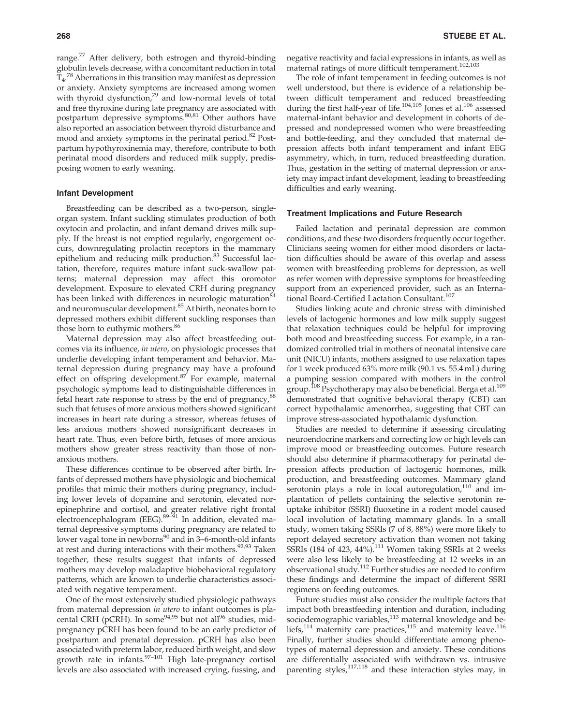range.<sup>77</sup> After delivery, both estrogen and thyroid-binding globulin levels decrease, with a concomitant reduction in total  $\tilde{T}_4$ .<sup>78</sup> Aberrations in this transition may manifest as depression or anxiety. Anxiety symptoms are increased among women with thyroid dysfunction,<sup>79</sup> and low-normal levels of total and free thyroxine during late pregnancy are associated with postpartum depressive symptoms.80,81 Other authors have also reported an association between thyroid disturbance and mood and anxiety symptoms in the perinatal period.<sup>82</sup> Postpartum hypothyroxinemia may, therefore, contribute to both perinatal mood disorders and reduced milk supply, predisposing women to early weaning.

#### Infant Development

Breastfeeding can be described as a two-person, singleorgan system. Infant suckling stimulates production of both oxytocin and prolactin, and infant demand drives milk supply. If the breast is not emptied regularly, engorgement occurs, downregulating prolactin receptors in the mammary epithelium and reducing milk production.<sup>83</sup> Successful lactation, therefore, requires mature infant suck-swallow patterns; maternal depression may affect this oromotor development. Exposure to elevated CRH during pregnancy has been linked with differences in neurologic maturation<sup>84</sup> and neuromuscular development.<sup>85</sup> At birth, neonates born to depressed mothers exhibit different suckling responses than those born to euthymic mothers.<sup>86</sup>

Maternal depression may also affect breastfeeding outcomes via its influence, in utero, on physiologic processes that underlie developing infant temperament and behavior. Maternal depression during pregnancy may have a profound effect on offspring development.<sup>87</sup> For example, maternal psychologic symptoms lead to distinguishable differences in fetal heart rate response to stress by the end of pregnancy,<sup>88</sup> such that fetuses of more anxious mothers showed significant increases in heart rate during a stressor, whereas fetuses of less anxious mothers showed nonsignificant decreases in heart rate. Thus, even before birth, fetuses of more anxious mothers show greater stress reactivity than those of nonanxious mothers.

These differences continue to be observed after birth. Infants of depressed mothers have physiologic and biochemical profiles that mimic their mothers during pregnancy, including lower levels of dopamine and serotonin, elevated norepinephrine and cortisol, and greater relative right frontal electroencephalogram (EEG).<sup>89–91</sup> In addition, elevated maternal depressive symptoms during pregnancy are related to lower vagal tone in newborns<sup>90</sup> and in 3–6-month-old infants at rest and during interactions with their mothers.<sup>92,93</sup> Taken together, these results suggest that infants of depressed mothers may develop maladaptive biobehavioral regulatory patterns, which are known to underlie characteristics associated with negative temperament.

One of the most extensively studied physiologic pathways from maternal depression in utero to infant outcomes is placental CRH (pCRH). In some<sup>94,95</sup> but not all<sup>96</sup> studies, midpregnancy pCRH has been found to be an early predictor of postpartum and prenatal depression. pCRH has also been associated with preterm labor, reduced birth weight, and slow growth rate in infants. $97-101$  High late-pregnancy cortisol levels are also associated with increased crying, fussing, and

negative reactivity and facial expressions in infants, as well as maternal ratings of more difficult temperament.<sup>102,103</sup>

The role of infant temperament in feeding outcomes is not well understood, but there is evidence of a relationship between difficult temperament and reduced breastfeeding during the first half-year of life.<sup>104,105</sup> Jones et al.<sup>106</sup> assessed maternal-infant behavior and development in cohorts of depressed and nondepressed women who were breastfeeding and bottle-feeding, and they concluded that maternal depression affects both infant temperament and infant EEG asymmetry, which, in turn, reduced breastfeeding duration. Thus, gestation in the setting of maternal depression or anxiety may impact infant development, leading to breastfeeding difficulties and early weaning.

#### Treatment Implications and Future Research

Failed lactation and perinatal depression are common conditions, and these two disorders frequently occur together. Clinicians seeing women for either mood disorders or lactation difficulties should be aware of this overlap and assess women with breastfeeding problems for depression, as well as refer women with depressive symptoms for breastfeeding support from an experienced provider, such as an International Board-Certified Lactation Consultant.<sup>107</sup>

Studies linking acute and chronic stress with diminished levels of lactogenic hormones and low milk supply suggest that relaxation techniques could be helpful for improving both mood and breastfeeding success. For example, in a randomized controlled trial in mothers of neonatal intensive care unit (NICU) infants, mothers assigned to use relaxation tapes for 1 week produced 63% more milk (90.1 vs. 55.4 mL) during a pumping session compared with mothers in the control group.<sup>108</sup> Psychotherapy may also be beneficial. Berga et al.<sup>109</sup> demonstrated that cognitive behavioral therapy (CBT) can correct hypothalamic amenorrhea, suggesting that CBT can improve stress-associated hypothalamic dysfunction.

Studies are needed to determine if assessing circulating neuroendocrine markers and correcting low or high levels can improve mood or breastfeeding outcomes. Future research should also determine if pharmacotherapy for perinatal depression affects production of lactogenic hormones, milk production, and breastfeeding outcomes. Mammary gland serotonin plays a role in local autoregulation, $110$  and implantation of pellets containing the selective serotonin reuptake inhibitor (SSRI) fluoxetine in a rodent model caused local involution of lactating mammary glands. In a small study, women taking SSRIs (7 of 8, 88%) were more likely to report delayed secretory activation than women not taking SSRIs (184 of 423,  $44\%$ ).<sup>111</sup> Women taking SSRIs at 2 weeks were also less likely to be breastfeeding at 12 weeks in an observational study.<sup>112</sup> Further studies are needed to confirm these findings and determine the impact of different SSRI regimens on feeding outcomes.

Future studies must also consider the multiple factors that impact both breastfeeding intention and duration, including sociodemographic variables, $113$  maternal knowledge and beliefs,<sup>114</sup> maternity care practices,<sup>115</sup> and maternity leave.<sup>116</sup> Finally, further studies should differentiate among phenotypes of maternal depression and anxiety. These conditions are differentially associated with withdrawn vs. intrusive parenting styles,<sup>117,118</sup> and these interaction styles may, in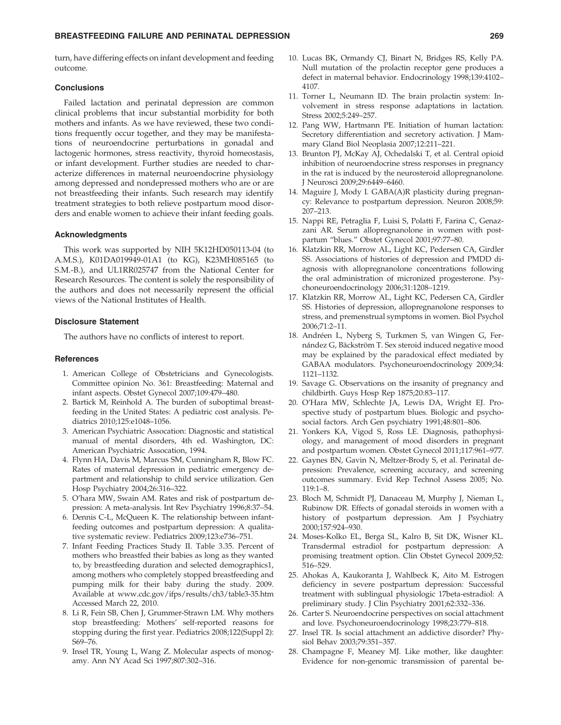turn, have differing effects on infant development and feeding outcome.

# **Conclusions**

Failed lactation and perinatal depression are common clinical problems that incur substantial morbidity for both mothers and infants. As we have reviewed, these two conditions frequently occur together, and they may be manifestations of neuroendocrine perturbations in gonadal and lactogenic hormones, stress reactivity, thyroid homeostasis, or infant development. Further studies are needed to characterize differences in maternal neuroendocrine physiology among depressed and nondepressed mothers who are or are not breastfeeding their infants. Such research may identify treatment strategies to both relieve postpartum mood disorders and enable women to achieve their infant feeding goals.

#### Acknowledgments

This work was supported by NIH 5K12HD050113-04 (to A.M.S.), K01DA019949-01A1 (to KG), K23MH085165 (to S.M.-B.), and UL1RR025747 from the National Center for Research Resources. The content is solely the responsibility of the authors and does not necessarily represent the official views of the National Institutes of Health.

# Disclosure Statement

The authors have no conflicts of interest to report.

#### **References**

- 1. American College of Obstetricians and Gynecologists. Committee opinion No. 361: Breastfeeding: Maternal and infant aspects. Obstet Gynecol 2007;109:479–480.
- 2. Bartick M, Reinhold A. The burden of suboptimal breastfeeding in the United States: A pediatric cost analysis. Pediatrics 2010;125:e1048–1056.
- 3. American Psychiatric Assocation: Diagnostic and statistical manual of mental disorders, 4th ed. Washington, DC: American Psychiatric Assocation, 1994.
- 4. Flynn HA, Davis M, Marcus SM, Cunningham R, Blow FC. Rates of maternal depression in pediatric emergency department and relationship to child service utilization. Gen Hosp Psychiatry 2004;26:316–322.
- 5. O'hara MW, Swain AM. Rates and risk of postpartum depression: A meta-analysis. Int Rev Psychiatry 1996;8:37–54.
- 6. Dennis C-L, McQueen K. The relationship between infantfeeding outcomes and postpartum depression: A qualitative systematic review. Pediatrics 2009;123:e736–751.
- 7. Infant Feeding Practices Study II. Table 3.35. Percent of mothers who breastfed their babies as long as they wanted to, by breastfeeding duration and selected demographics1, among mothers who completely stopped breastfeeding and pumping milk for their baby during the study. 2009. Available at www.cdc.gov/ifps/results/ch3/table3-35.htm Accessed March 22, 2010.
- 8. Li R, Fein SB, Chen J, Grummer-Strawn LM. Why mothers stop breastfeeding: Mothers' self-reported reasons for stopping during the first year. Pediatrics 2008;122(Suppl 2): S69–76.
- 9. Insel TR, Young L, Wang Z. Molecular aspects of monogamy. Ann NY Acad Sci 1997;807:302–316.
- 10. Lucas BK, Ormandy CJ, Binart N, Bridges RS, Kelly PA. Null mutation of the prolactin receptor gene produces a defect in maternal behavior. Endocrinology 1998;139:4102– 4107.
- 11. Torner L, Neumann ID. The brain prolactin system: Involvement in stress response adaptations in lactation. Stress 2002;5:249–257.
- 12. Pang WW, Hartmann PE. Initiation of human lactation: Secretory differentiation and secretory activation. J Mammary Gland Biol Neoplasia 2007;12:211–221.
- 13. Brunton PJ, McKay AJ, Ochedalski T, et al. Central opioid inhibition of neuroendocrine stress responses in pregnancy in the rat is induced by the neurosteroid allopregnanolone. J Neurosci 2009;29:6449–6460.
- 14. Maguire J, Mody I. GABA(A)R plasticity during pregnancy: Relevance to postpartum depression. Neuron 2008;59: 207–213.
- 15. Nappi RE, Petraglia F, Luisi S, Polatti F, Farina C, Genazzani AR. Serum allopregnanolone in women with postpartum ''blues.'' Obstet Gynecol 2001;97:77–80.
- 16. Klatzkin RR, Morrow AL, Light KC, Pedersen CA, Girdler SS. Associations of histories of depression and PMDD diagnosis with allopregnanolone concentrations following the oral administration of micronized progesterone. Psychoneuroendocrinology 2006;31:1208–1219.
- 17. Klatzkin RR, Morrow AL, Light KC, Pedersen CA, Girdler SS. Histories of depression, allopregnanolone responses to stress, and premenstrual symptoms in women. Biol Psychol 2006;71:2–11.
- 18. Andréen L, Nyberg S, Turkmen S, van Wingen G, Fernández G, Bäckström T. Sex steroid induced negative mood may be explained by the paradoxical effect mediated by GABAA modulators. Psychoneuroendocrinology 2009;34: 1121–1132.
- 19. Savage G. Observations on the insanity of pregnancy and childbirth. Guys Hosp Rep 1875;20:83–117.
- 20. O'Hara MW, Schlechte JA, Lewis DA, Wright EJ. Prospective study of postpartum blues. Biologic and psychosocial factors. Arch Gen psychiatry 1991;48:801–806.
- 21. Yonkers KA, Vigod S, Ross LE. Diagnosis, pathophysiology, and management of mood disorders in pregnant and postpartum women. Obstet Gynecol 2011;117:961–977.
- 22. Gaynes BN, Gavin N, Meltzer-Brody S, et al. Perinatal depression: Prevalence, screening accuracy, and screening outcomes summary. Evid Rep Technol Assess 2005; No. 119:1–8.
- 23. Bloch M, Schmidt PJ, Danaceau M, Murphy J, Nieman L, Rubinow DR. Effects of gonadal steroids in women with a history of postpartum depression. Am J Psychiatry 2000;157:924–930.
- 24. Moses-Kolko EL, Berga SL, Kalro B, Sit DK, Wisner KL. Transdermal estradiol for postpartum depression: A promising treatment option. Clin Obstet Gynecol 2009;52: 516–529.
- 25. Ahokas A, Kaukoranta J, Wahlbeck K, Aito M. Estrogen deficiency in severe postpartum depression: Successful treatment with sublingual physiologic 17beta-estradiol: A preliminary study. J Clin Psychiatry 2001;62:332–336.
- 26. Carter S. Neuroendocrine perspectives on social attachment and love. Psychoneuroendocrinology 1998;23:779–818.
- 27. Insel TR. Is social attachment an addictive disorder? Physiol Behav 2003;79:351–357.
- 28. Champagne F, Meaney MJ. Like mother, like daughter: Evidence for non-genomic transmission of parental be-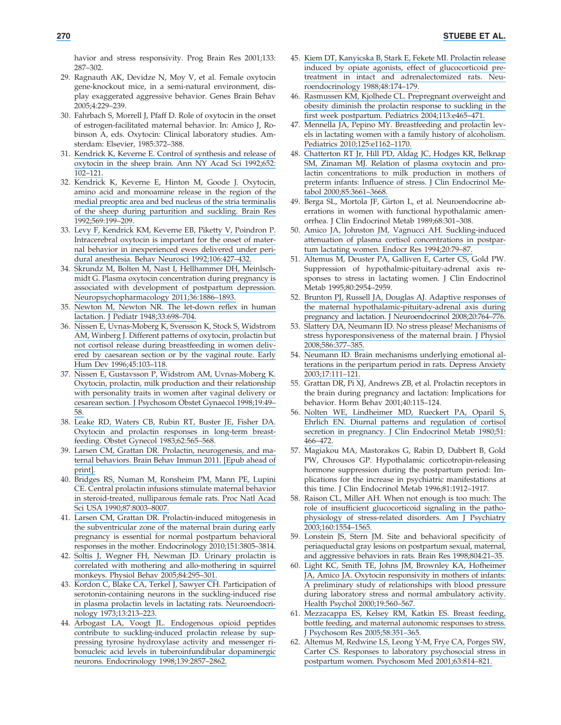havior and stress responsivity. Prog Brain Res 2001;133: 287–302.

- 29. Ragnauth AK, Devidze N, Moy V, et al. Female oxytocin gene-knockout mice, in a semi-natural environment, display exaggerated aggressive behavior. Genes Brain Behav 2005;4:229–239.
- 30. Fahrbach S, Morrell J, Pfaff D. Role of oxytocin in the onset of estrogen-facilitated maternal behavior. In: Amico J, Robinson A, eds. Oxytocin: Clinical laboratory studies. Amsterdam: Elsevier, 1985:372–388.
- 31. [Kendrick K, Keverne E. Control of synthesis and release of](https://www.researchgate.net/publication/21528557_Control_of_Synthesis_and_Release_of_Oxytocin_in_the_Sheep_Braina?el=1_x_8&enrichId=rgreq-9c536cbd-fa9f-496e-bb7b-8646c579ffd6&enrichSource=Y292ZXJQYWdlOzUxOTU0NzQ1O0FTOjEwMTkyMzY4ODU1MDQwN0AxNDAxMzExOTA5NzI0) [oxytocin in the sheep brain. Ann NY Acad Sci 1992;652:](https://www.researchgate.net/publication/21528557_Control_of_Synthesis_and_Release_of_Oxytocin_in_the_Sheep_Braina?el=1_x_8&enrichId=rgreq-9c536cbd-fa9f-496e-bb7b-8646c579ffd6&enrichSource=Y292ZXJQYWdlOzUxOTU0NzQ1O0FTOjEwMTkyMzY4ODU1MDQwN0AxNDAxMzExOTA5NzI0) [102–121.](https://www.researchgate.net/publication/21528557_Control_of_Synthesis_and_Release_of_Oxytocin_in_the_Sheep_Braina?el=1_x_8&enrichId=rgreq-9c536cbd-fa9f-496e-bb7b-8646c579ffd6&enrichSource=Y292ZXJQYWdlOzUxOTU0NzQ1O0FTOjEwMTkyMzY4ODU1MDQwN0AxNDAxMzExOTA5NzI0)
- 32. [Kendrick K, Keverne E, Hinton M, Goode J. Oxytocin,](https://www.researchgate.net/publication/21614552_Oxytocin_amino_acid_and_monoamine_release_in_the_medial_preoptic_area_and_bed_nucleus_of_the_stria_terminalis_of_the_sheep_during_parturition_and_suckling_Brain_Res_Submitted?el=1_x_8&enrichId=rgreq-9c536cbd-fa9f-496e-bb7b-8646c579ffd6&enrichSource=Y292ZXJQYWdlOzUxOTU0NzQ1O0FTOjEwMTkyMzY4ODU1MDQwN0AxNDAxMzExOTA5NzI0) [amino acid and monoamine release in the region of the](https://www.researchgate.net/publication/21614552_Oxytocin_amino_acid_and_monoamine_release_in_the_medial_preoptic_area_and_bed_nucleus_of_the_stria_terminalis_of_the_sheep_during_parturition_and_suckling_Brain_Res_Submitted?el=1_x_8&enrichId=rgreq-9c536cbd-fa9f-496e-bb7b-8646c579ffd6&enrichSource=Y292ZXJQYWdlOzUxOTU0NzQ1O0FTOjEwMTkyMzY4ODU1MDQwN0AxNDAxMzExOTA5NzI0) [medial preoptic area and bed nucleus of the stria terminalis](https://www.researchgate.net/publication/21614552_Oxytocin_amino_acid_and_monoamine_release_in_the_medial_preoptic_area_and_bed_nucleus_of_the_stria_terminalis_of_the_sheep_during_parturition_and_suckling_Brain_Res_Submitted?el=1_x_8&enrichId=rgreq-9c536cbd-fa9f-496e-bb7b-8646c579ffd6&enrichSource=Y292ZXJQYWdlOzUxOTU0NzQ1O0FTOjEwMTkyMzY4ODU1MDQwN0AxNDAxMzExOTA5NzI0) [of the sheep during parturition and suckling. Brain Res](https://www.researchgate.net/publication/21614552_Oxytocin_amino_acid_and_monoamine_release_in_the_medial_preoptic_area_and_bed_nucleus_of_the_stria_terminalis_of_the_sheep_during_parturition_and_suckling_Brain_Res_Submitted?el=1_x_8&enrichId=rgreq-9c536cbd-fa9f-496e-bb7b-8646c579ffd6&enrichSource=Y292ZXJQYWdlOzUxOTU0NzQ1O0FTOjEwMTkyMzY4ODU1MDQwN0AxNDAxMzExOTA5NzI0) [1992;569:199–209.](https://www.researchgate.net/publication/21614552_Oxytocin_amino_acid_and_monoamine_release_in_the_medial_preoptic_area_and_bed_nucleus_of_the_stria_terminalis_of_the_sheep_during_parturition_and_suckling_Brain_Res_Submitted?el=1_x_8&enrichId=rgreq-9c536cbd-fa9f-496e-bb7b-8646c579ffd6&enrichSource=Y292ZXJQYWdlOzUxOTU0NzQ1O0FTOjEwMTkyMzY4ODU1MDQwN0AxNDAxMzExOTA5NzI0)
- 33. [Levy F, Kendrick KM, Keverne EB, Piketty V, Poindron P.](https://www.researchgate.net/publication/21564691_Intracerebral_Oxytocin_Is_Important_for_the_Onset_of_Maternal_Behavior_in_Inexperienced_Ewes_Delivered_Under_Peridural_Anesthesia?el=1_x_8&enrichId=rgreq-9c536cbd-fa9f-496e-bb7b-8646c579ffd6&enrichSource=Y292ZXJQYWdlOzUxOTU0NzQ1O0FTOjEwMTkyMzY4ODU1MDQwN0AxNDAxMzExOTA5NzI0) [Intracerebral oxytocin is important for the onset of mater](https://www.researchgate.net/publication/21564691_Intracerebral_Oxytocin_Is_Important_for_the_Onset_of_Maternal_Behavior_in_Inexperienced_Ewes_Delivered_Under_Peridural_Anesthesia?el=1_x_8&enrichId=rgreq-9c536cbd-fa9f-496e-bb7b-8646c579ffd6&enrichSource=Y292ZXJQYWdlOzUxOTU0NzQ1O0FTOjEwMTkyMzY4ODU1MDQwN0AxNDAxMzExOTA5NzI0)[nal behavior in inexperienced ewes delivered under peri](https://www.researchgate.net/publication/21564691_Intracerebral_Oxytocin_Is_Important_for_the_Onset_of_Maternal_Behavior_in_Inexperienced_Ewes_Delivered_Under_Peridural_Anesthesia?el=1_x_8&enrichId=rgreq-9c536cbd-fa9f-496e-bb7b-8646c579ffd6&enrichSource=Y292ZXJQYWdlOzUxOTU0NzQ1O0FTOjEwMTkyMzY4ODU1MDQwN0AxNDAxMzExOTA5NzI0)[dural anesthesia. Behav Neurosci 1992;106:427–432.](https://www.researchgate.net/publication/21564691_Intracerebral_Oxytocin_Is_Important_for_the_Onset_of_Maternal_Behavior_in_Inexperienced_Ewes_Delivered_Under_Peridural_Anesthesia?el=1_x_8&enrichId=rgreq-9c536cbd-fa9f-496e-bb7b-8646c579ffd6&enrichSource=Y292ZXJQYWdlOzUxOTU0NzQ1O0FTOjEwMTkyMzY4ODU1MDQwN0AxNDAxMzExOTA5NzI0)
- 34. [Skrundz M, Bolten M, Nast I, Hellhammer DH, Meinlsch](https://www.researchgate.net/publication/51117410_Plasma_Oxytocin_Concentration_during_Pregnancy_is_associated_with_Development_of_Postpartum_Depression?el=1_x_8&enrichId=rgreq-9c536cbd-fa9f-496e-bb7b-8646c579ffd6&enrichSource=Y292ZXJQYWdlOzUxOTU0NzQ1O0FTOjEwMTkyMzY4ODU1MDQwN0AxNDAxMzExOTA5NzI0)[midt G. Plasma oxytocin concentration during pregnancy is](https://www.researchgate.net/publication/51117410_Plasma_Oxytocin_Concentration_during_Pregnancy_is_associated_with_Development_of_Postpartum_Depression?el=1_x_8&enrichId=rgreq-9c536cbd-fa9f-496e-bb7b-8646c579ffd6&enrichSource=Y292ZXJQYWdlOzUxOTU0NzQ1O0FTOjEwMTkyMzY4ODU1MDQwN0AxNDAxMzExOTA5NzI0) [associated with development of postpartum depression.](https://www.researchgate.net/publication/51117410_Plasma_Oxytocin_Concentration_during_Pregnancy_is_associated_with_Development_of_Postpartum_Depression?el=1_x_8&enrichId=rgreq-9c536cbd-fa9f-496e-bb7b-8646c579ffd6&enrichSource=Y292ZXJQYWdlOzUxOTU0NzQ1O0FTOjEwMTkyMzY4ODU1MDQwN0AxNDAxMzExOTA5NzI0) [Neuropsychopharmacology 2011;36:1886–1893.](https://www.researchgate.net/publication/51117410_Plasma_Oxytocin_Concentration_during_Pregnancy_is_associated_with_Development_of_Postpartum_Depression?el=1_x_8&enrichId=rgreq-9c536cbd-fa9f-496e-bb7b-8646c579ffd6&enrichSource=Y292ZXJQYWdlOzUxOTU0NzQ1O0FTOjEwMTkyMzY4ODU1MDQwN0AxNDAxMzExOTA5NzI0)
- 35. [Newton M, Newton NR. The let-down reflex in human](https://www.researchgate.net/publication/5748202_Let-Down_Reflex_in_Human_Lactation?el=1_x_8&enrichId=rgreq-9c536cbd-fa9f-496e-bb7b-8646c579ffd6&enrichSource=Y292ZXJQYWdlOzUxOTU0NzQ1O0FTOjEwMTkyMzY4ODU1MDQwN0AxNDAxMzExOTA5NzI0) [lactation. J Pediatr 1948;33:698–704.](https://www.researchgate.net/publication/5748202_Let-Down_Reflex_in_Human_Lactation?el=1_x_8&enrichId=rgreq-9c536cbd-fa9f-496e-bb7b-8646c579ffd6&enrichSource=Y292ZXJQYWdlOzUxOTU0NzQ1O0FTOjEwMTkyMzY4ODU1MDQwN0AxNDAxMzExOTA5NzI0)
- 36. [Nissen E, Uvnas-Moberg K, Svensson K, Stock S, Widstrom](https://www.researchgate.net/publication/14362059_Different_patterns_of_oxytocin_prolactin_but_not_cortisol_release_during_breastfeeding_in_women_delivered_by_Caesarean_section_or_by_the_vaginal_route?el=1_x_8&enrichId=rgreq-9c536cbd-fa9f-496e-bb7b-8646c579ffd6&enrichSource=Y292ZXJQYWdlOzUxOTU0NzQ1O0FTOjEwMTkyMzY4ODU1MDQwN0AxNDAxMzExOTA5NzI0) [AM, Winberg J. Different patterns of oxytocin, prolactin but](https://www.researchgate.net/publication/14362059_Different_patterns_of_oxytocin_prolactin_but_not_cortisol_release_during_breastfeeding_in_women_delivered_by_Caesarean_section_or_by_the_vaginal_route?el=1_x_8&enrichId=rgreq-9c536cbd-fa9f-496e-bb7b-8646c579ffd6&enrichSource=Y292ZXJQYWdlOzUxOTU0NzQ1O0FTOjEwMTkyMzY4ODU1MDQwN0AxNDAxMzExOTA5NzI0) [not cortisol release during breastfeeding in women deliv](https://www.researchgate.net/publication/14362059_Different_patterns_of_oxytocin_prolactin_but_not_cortisol_release_during_breastfeeding_in_women_delivered_by_Caesarean_section_or_by_the_vaginal_route?el=1_x_8&enrichId=rgreq-9c536cbd-fa9f-496e-bb7b-8646c579ffd6&enrichSource=Y292ZXJQYWdlOzUxOTU0NzQ1O0FTOjEwMTkyMzY4ODU1MDQwN0AxNDAxMzExOTA5NzI0)[ered by caesarean section or by the vaginal route. Early](https://www.researchgate.net/publication/14362059_Different_patterns_of_oxytocin_prolactin_but_not_cortisol_release_during_breastfeeding_in_women_delivered_by_Caesarean_section_or_by_the_vaginal_route?el=1_x_8&enrichId=rgreq-9c536cbd-fa9f-496e-bb7b-8646c579ffd6&enrichSource=Y292ZXJQYWdlOzUxOTU0NzQ1O0FTOjEwMTkyMzY4ODU1MDQwN0AxNDAxMzExOTA5NzI0) [Hum Dev 1996;45:103–118.](https://www.researchgate.net/publication/14362059_Different_patterns_of_oxytocin_prolactin_but_not_cortisol_release_during_breastfeeding_in_women_delivered_by_Caesarean_section_or_by_the_vaginal_route?el=1_x_8&enrichId=rgreq-9c536cbd-fa9f-496e-bb7b-8646c579ffd6&enrichSource=Y292ZXJQYWdlOzUxOTU0NzQ1O0FTOjEwMTkyMzY4ODU1MDQwN0AxNDAxMzExOTA5NzI0)
- 37. [Nissen E, Gustavsson P, Widstrom AM, Uvnas-Moberg K.](https://www.researchgate.net/publication/51346733_Oxytocin_prolactin_milk_production_and_their_relation_with_personality_traits_in_women_after_vaginal_delivery_and_Sectio_Caesarea?el=1_x_8&enrichId=rgreq-9c536cbd-fa9f-496e-bb7b-8646c579ffd6&enrichSource=Y292ZXJQYWdlOzUxOTU0NzQ1O0FTOjEwMTkyMzY4ODU1MDQwN0AxNDAxMzExOTA5NzI0) [Oxytocin, prolactin, milk production and their relationship](https://www.researchgate.net/publication/51346733_Oxytocin_prolactin_milk_production_and_their_relation_with_personality_traits_in_women_after_vaginal_delivery_and_Sectio_Caesarea?el=1_x_8&enrichId=rgreq-9c536cbd-fa9f-496e-bb7b-8646c579ffd6&enrichSource=Y292ZXJQYWdlOzUxOTU0NzQ1O0FTOjEwMTkyMzY4ODU1MDQwN0AxNDAxMzExOTA5NzI0) [with personality traits in women after vaginal delivery or](https://www.researchgate.net/publication/51346733_Oxytocin_prolactin_milk_production_and_their_relation_with_personality_traits_in_women_after_vaginal_delivery_and_Sectio_Caesarea?el=1_x_8&enrichId=rgreq-9c536cbd-fa9f-496e-bb7b-8646c579ffd6&enrichSource=Y292ZXJQYWdlOzUxOTU0NzQ1O0FTOjEwMTkyMzY4ODU1MDQwN0AxNDAxMzExOTA5NzI0) [cesarean section. J Psychosom Obstet Gynaecol 1998;19:49–](https://www.researchgate.net/publication/51346733_Oxytocin_prolactin_milk_production_and_their_relation_with_personality_traits_in_women_after_vaginal_delivery_and_Sectio_Caesarea?el=1_x_8&enrichId=rgreq-9c536cbd-fa9f-496e-bb7b-8646c579ffd6&enrichSource=Y292ZXJQYWdlOzUxOTU0NzQ1O0FTOjEwMTkyMzY4ODU1MDQwN0AxNDAxMzExOTA5NzI0) [58.](https://www.researchgate.net/publication/51346733_Oxytocin_prolactin_milk_production_and_their_relation_with_personality_traits_in_women_after_vaginal_delivery_and_Sectio_Caesarea?el=1_x_8&enrichId=rgreq-9c536cbd-fa9f-496e-bb7b-8646c579ffd6&enrichSource=Y292ZXJQYWdlOzUxOTU0NzQ1O0FTOjEwMTkyMzY4ODU1MDQwN0AxNDAxMzExOTA5NzI0)
- 38. [Leake RD, Waters CB, Rubin RT, Buster JE, Fisher DA.](https://www.researchgate.net/publication/16511073_Oxytocin_and_prolactin_responses_in_long-term_breast-feeding?el=1_x_8&enrichId=rgreq-9c536cbd-fa9f-496e-bb7b-8646c579ffd6&enrichSource=Y292ZXJQYWdlOzUxOTU0NzQ1O0FTOjEwMTkyMzY4ODU1MDQwN0AxNDAxMzExOTA5NzI0) [Oxytocin and prolactin responses in long-term breast](https://www.researchgate.net/publication/16511073_Oxytocin_and_prolactin_responses_in_long-term_breast-feeding?el=1_x_8&enrichId=rgreq-9c536cbd-fa9f-496e-bb7b-8646c579ffd6&enrichSource=Y292ZXJQYWdlOzUxOTU0NzQ1O0FTOjEwMTkyMzY4ODU1MDQwN0AxNDAxMzExOTA5NzI0)[feeding. Obstet Gynecol 1983;62:565–568.](https://www.researchgate.net/publication/16511073_Oxytocin_and_prolactin_responses_in_long-term_breast-feeding?el=1_x_8&enrichId=rgreq-9c536cbd-fa9f-496e-bb7b-8646c579ffd6&enrichSource=Y292ZXJQYWdlOzUxOTU0NzQ1O0FTOjEwMTkyMzY4ODU1MDQwN0AxNDAxMzExOTA5NzI0)
- 39. [Larsen CM, Grattan DR. Prolactin, neurogenesis, and ma](https://www.researchgate.net/publication/51551003_Prolactin_neurogenesis_and_maternal_behaviors?el=1_x_8&enrichId=rgreq-9c536cbd-fa9f-496e-bb7b-8646c579ffd6&enrichSource=Y292ZXJQYWdlOzUxOTU0NzQ1O0FTOjEwMTkyMzY4ODU1MDQwN0AxNDAxMzExOTA5NzI0)[ternal behaviors. Brain Behav Immun 2011. \[Epub ahead of](https://www.researchgate.net/publication/51551003_Prolactin_neurogenesis_and_maternal_behaviors?el=1_x_8&enrichId=rgreq-9c536cbd-fa9f-496e-bb7b-8646c579ffd6&enrichSource=Y292ZXJQYWdlOzUxOTU0NzQ1O0FTOjEwMTkyMzY4ODU1MDQwN0AxNDAxMzExOTA5NzI0) [print\].](https://www.researchgate.net/publication/51551003_Prolactin_neurogenesis_and_maternal_behaviors?el=1_x_8&enrichId=rgreq-9c536cbd-fa9f-496e-bb7b-8646c579ffd6&enrichSource=Y292ZXJQYWdlOzUxOTU0NzQ1O0FTOjEwMTkyMzY4ODU1MDQwN0AxNDAxMzExOTA5NzI0)
- 40. [Bridges RS, Numan M, Ronsheim PM, Mann PE, Lupini](https://www.researchgate.net/publication/20920086_Central_PRL_infusions_stimulate_maternal_behavior_in_steroid-treated_nulliparous_female_rats?el=1_x_8&enrichId=rgreq-9c536cbd-fa9f-496e-bb7b-8646c579ffd6&enrichSource=Y292ZXJQYWdlOzUxOTU0NzQ1O0FTOjEwMTkyMzY4ODU1MDQwN0AxNDAxMzExOTA5NzI0) [CE. Central prolactin infusions stimulate maternal behavior](https://www.researchgate.net/publication/20920086_Central_PRL_infusions_stimulate_maternal_behavior_in_steroid-treated_nulliparous_female_rats?el=1_x_8&enrichId=rgreq-9c536cbd-fa9f-496e-bb7b-8646c579ffd6&enrichSource=Y292ZXJQYWdlOzUxOTU0NzQ1O0FTOjEwMTkyMzY4ODU1MDQwN0AxNDAxMzExOTA5NzI0) [in steroid-treated, nulliparous female rats. Proc Natl Acad](https://www.researchgate.net/publication/20920086_Central_PRL_infusions_stimulate_maternal_behavior_in_steroid-treated_nulliparous_female_rats?el=1_x_8&enrichId=rgreq-9c536cbd-fa9f-496e-bb7b-8646c579ffd6&enrichSource=Y292ZXJQYWdlOzUxOTU0NzQ1O0FTOjEwMTkyMzY4ODU1MDQwN0AxNDAxMzExOTA5NzI0) [Sci USA 1990;87:8003–8007.](https://www.researchgate.net/publication/20920086_Central_PRL_infusions_stimulate_maternal_behavior_in_steroid-treated_nulliparous_female_rats?el=1_x_8&enrichId=rgreq-9c536cbd-fa9f-496e-bb7b-8646c579ffd6&enrichSource=Y292ZXJQYWdlOzUxOTU0NzQ1O0FTOjEwMTkyMzY4ODU1MDQwN0AxNDAxMzExOTA5NzI0)
- 41. [Larsen CM, Grattan DR. Prolactin-induced mitogenesis in](https://www.researchgate.net/publication/44613247_Prolactin-Induced_Mitogenesis_in_the_Subventricular_Zone_of_the_Maternal_Brain_during_Early_Pregnancy_Is_Essential_for_Normal_Postpartum_Behavioral_Responses_in_the_Mother?el=1_x_8&enrichId=rgreq-9c536cbd-fa9f-496e-bb7b-8646c579ffd6&enrichSource=Y292ZXJQYWdlOzUxOTU0NzQ1O0FTOjEwMTkyMzY4ODU1MDQwN0AxNDAxMzExOTA5NzI0) [the subventricular zone of the maternal brain during early](https://www.researchgate.net/publication/44613247_Prolactin-Induced_Mitogenesis_in_the_Subventricular_Zone_of_the_Maternal_Brain_during_Early_Pregnancy_Is_Essential_for_Normal_Postpartum_Behavioral_Responses_in_the_Mother?el=1_x_8&enrichId=rgreq-9c536cbd-fa9f-496e-bb7b-8646c579ffd6&enrichSource=Y292ZXJQYWdlOzUxOTU0NzQ1O0FTOjEwMTkyMzY4ODU1MDQwN0AxNDAxMzExOTA5NzI0) [pregnancy is essential for normal postpartum behavioral](https://www.researchgate.net/publication/44613247_Prolactin-Induced_Mitogenesis_in_the_Subventricular_Zone_of_the_Maternal_Brain_during_Early_Pregnancy_Is_Essential_for_Normal_Postpartum_Behavioral_Responses_in_the_Mother?el=1_x_8&enrichId=rgreq-9c536cbd-fa9f-496e-bb7b-8646c579ffd6&enrichSource=Y292ZXJQYWdlOzUxOTU0NzQ1O0FTOjEwMTkyMzY4ODU1MDQwN0AxNDAxMzExOTA5NzI0) [responses in the mother. Endocrinology 2010;151:3805–3814.](https://www.researchgate.net/publication/44613247_Prolactin-Induced_Mitogenesis_in_the_Subventricular_Zone_of_the_Maternal_Brain_during_Early_Pregnancy_Is_Essential_for_Normal_Postpartum_Behavioral_Responses_in_the_Mother?el=1_x_8&enrichId=rgreq-9c536cbd-fa9f-496e-bb7b-8646c579ffd6&enrichSource=Y292ZXJQYWdlOzUxOTU0NzQ1O0FTOjEwMTkyMzY4ODU1MDQwN0AxNDAxMzExOTA5NzI0)
- 42. [Soltis J, Wegner FH, Newman JD. Urinary prolactin is](https://www.researchgate.net/publication/8023907_Urinary_prolactin_is_correlated_with_mothering_and_allo-mothering_in_squirrel_monkeys?el=1_x_8&enrichId=rgreq-9c536cbd-fa9f-496e-bb7b-8646c579ffd6&enrichSource=Y292ZXJQYWdlOzUxOTU0NzQ1O0FTOjEwMTkyMzY4ODU1MDQwN0AxNDAxMzExOTA5NzI0) [correlated with mothering and allo-mothering in squirrel](https://www.researchgate.net/publication/8023907_Urinary_prolactin_is_correlated_with_mothering_and_allo-mothering_in_squirrel_monkeys?el=1_x_8&enrichId=rgreq-9c536cbd-fa9f-496e-bb7b-8646c579ffd6&enrichSource=Y292ZXJQYWdlOzUxOTU0NzQ1O0FTOjEwMTkyMzY4ODU1MDQwN0AxNDAxMzExOTA5NzI0) [monkeys. Physiol Behav 2005;84:295–301.](https://www.researchgate.net/publication/8023907_Urinary_prolactin_is_correlated_with_mothering_and_allo-mothering_in_squirrel_monkeys?el=1_x_8&enrichId=rgreq-9c536cbd-fa9f-496e-bb7b-8646c579ffd6&enrichSource=Y292ZXJQYWdlOzUxOTU0NzQ1O0FTOjEwMTkyMzY4ODU1MDQwN0AxNDAxMzExOTA5NzI0)
- 43. [Kordon C, Blake CA, Terkel J, Sawyer CH. Participation of](https://www.researchgate.net/publication/18893127_Participation_of_Serotonin-Containing_Neurons_in_the_Suckling-Induced_Rise_in_Plasma_Prolactin_Levels_in_Lactating_Rats?el=1_x_8&enrichId=rgreq-9c536cbd-fa9f-496e-bb7b-8646c579ffd6&enrichSource=Y292ZXJQYWdlOzUxOTU0NzQ1O0FTOjEwMTkyMzY4ODU1MDQwN0AxNDAxMzExOTA5NzI0) [serotonin-containing neurons in the suckling-induced rise](https://www.researchgate.net/publication/18893127_Participation_of_Serotonin-Containing_Neurons_in_the_Suckling-Induced_Rise_in_Plasma_Prolactin_Levels_in_Lactating_Rats?el=1_x_8&enrichId=rgreq-9c536cbd-fa9f-496e-bb7b-8646c579ffd6&enrichSource=Y292ZXJQYWdlOzUxOTU0NzQ1O0FTOjEwMTkyMzY4ODU1MDQwN0AxNDAxMzExOTA5NzI0) [in plasma prolactin levels in lactating rats. Neuroendocri](https://www.researchgate.net/publication/18893127_Participation_of_Serotonin-Containing_Neurons_in_the_Suckling-Induced_Rise_in_Plasma_Prolactin_Levels_in_Lactating_Rats?el=1_x_8&enrichId=rgreq-9c536cbd-fa9f-496e-bb7b-8646c579ffd6&enrichSource=Y292ZXJQYWdlOzUxOTU0NzQ1O0FTOjEwMTkyMzY4ODU1MDQwN0AxNDAxMzExOTA5NzI0)[nology 1973;13:213–223.](https://www.researchgate.net/publication/18893127_Participation_of_Serotonin-Containing_Neurons_in_the_Suckling-Induced_Rise_in_Plasma_Prolactin_Levels_in_Lactating_Rats?el=1_x_8&enrichId=rgreq-9c536cbd-fa9f-496e-bb7b-8646c579ffd6&enrichSource=Y292ZXJQYWdlOzUxOTU0NzQ1O0FTOjEwMTkyMzY4ODU1MDQwN0AxNDAxMzExOTA5NzI0)
- 44. [Arbogast LA, Voogt JL. Endogenous opioid peptides](https://www.researchgate.net/publication/13676080_Arbogast_LA_Voogt_JL_Endogenous_opioid_peptides_contribute_to_suckling-induced_prolactin_release_by_suppressing_tyrosine_hydroxylase_activity_and_messenger_ribonucleic_acid_levels_in_tuberoinfundibula?el=1_x_8&enrichId=rgreq-9c536cbd-fa9f-496e-bb7b-8646c579ffd6&enrichSource=Y292ZXJQYWdlOzUxOTU0NzQ1O0FTOjEwMTkyMzY4ODU1MDQwN0AxNDAxMzExOTA5NzI0) [contribute to suckling-induced prolactin release by sup](https://www.researchgate.net/publication/13676080_Arbogast_LA_Voogt_JL_Endogenous_opioid_peptides_contribute_to_suckling-induced_prolactin_release_by_suppressing_tyrosine_hydroxylase_activity_and_messenger_ribonucleic_acid_levels_in_tuberoinfundibula?el=1_x_8&enrichId=rgreq-9c536cbd-fa9f-496e-bb7b-8646c579ffd6&enrichSource=Y292ZXJQYWdlOzUxOTU0NzQ1O0FTOjEwMTkyMzY4ODU1MDQwN0AxNDAxMzExOTA5NzI0)[pressing tyrosine hydroxylase activity and messenger ri](https://www.researchgate.net/publication/13676080_Arbogast_LA_Voogt_JL_Endogenous_opioid_peptides_contribute_to_suckling-induced_prolactin_release_by_suppressing_tyrosine_hydroxylase_activity_and_messenger_ribonucleic_acid_levels_in_tuberoinfundibula?el=1_x_8&enrichId=rgreq-9c536cbd-fa9f-496e-bb7b-8646c579ffd6&enrichSource=Y292ZXJQYWdlOzUxOTU0NzQ1O0FTOjEwMTkyMzY4ODU1MDQwN0AxNDAxMzExOTA5NzI0)[bonucleic acid levels in tuberoinfundibular dopaminergic](https://www.researchgate.net/publication/13676080_Arbogast_LA_Voogt_JL_Endogenous_opioid_peptides_contribute_to_suckling-induced_prolactin_release_by_suppressing_tyrosine_hydroxylase_activity_and_messenger_ribonucleic_acid_levels_in_tuberoinfundibula?el=1_x_8&enrichId=rgreq-9c536cbd-fa9f-496e-bb7b-8646c579ffd6&enrichSource=Y292ZXJQYWdlOzUxOTU0NzQ1O0FTOjEwMTkyMzY4ODU1MDQwN0AxNDAxMzExOTA5NzI0) [neurons. Endocrinology 1998;139:2857–2862.](https://www.researchgate.net/publication/13676080_Arbogast_LA_Voogt_JL_Endogenous_opioid_peptides_contribute_to_suckling-induced_prolactin_release_by_suppressing_tyrosine_hydroxylase_activity_and_messenger_ribonucleic_acid_levels_in_tuberoinfundibula?el=1_x_8&enrichId=rgreq-9c536cbd-fa9f-496e-bb7b-8646c579ffd6&enrichSource=Y292ZXJQYWdlOzUxOTU0NzQ1O0FTOjEwMTkyMzY4ODU1MDQwN0AxNDAxMzExOTA5NzI0)
- 45. [Kiem DT, Kanyicska B, Stark E, Fekete MI. Prolactin release](https://www.researchgate.net/publication/20250374_Prolactin_Release_Induced_by_Opiate_Agonists_Effect_of_Glucocorticoid_Pretreatment_in_Intact_and_Adrenalectomized_Rats?el=1_x_8&enrichId=rgreq-9c536cbd-fa9f-496e-bb7b-8646c579ffd6&enrichSource=Y292ZXJQYWdlOzUxOTU0NzQ1O0FTOjEwMTkyMzY4ODU1MDQwN0AxNDAxMzExOTA5NzI0) [induced by opiate agonists, effect of glucocorticoid pre](https://www.researchgate.net/publication/20250374_Prolactin_Release_Induced_by_Opiate_Agonists_Effect_of_Glucocorticoid_Pretreatment_in_Intact_and_Adrenalectomized_Rats?el=1_x_8&enrichId=rgreq-9c536cbd-fa9f-496e-bb7b-8646c579ffd6&enrichSource=Y292ZXJQYWdlOzUxOTU0NzQ1O0FTOjEwMTkyMzY4ODU1MDQwN0AxNDAxMzExOTA5NzI0)[treatment in intact and adrenalectomized rats. Neu](https://www.researchgate.net/publication/20250374_Prolactin_Release_Induced_by_Opiate_Agonists_Effect_of_Glucocorticoid_Pretreatment_in_Intact_and_Adrenalectomized_Rats?el=1_x_8&enrichId=rgreq-9c536cbd-fa9f-496e-bb7b-8646c579ffd6&enrichSource=Y292ZXJQYWdlOzUxOTU0NzQ1O0FTOjEwMTkyMzY4ODU1MDQwN0AxNDAxMzExOTA5NzI0)[roendocrinology 1988;48:174–179.](https://www.researchgate.net/publication/20250374_Prolactin_Release_Induced_by_Opiate_Agonists_Effect_of_Glucocorticoid_Pretreatment_in_Intact_and_Adrenalectomized_Rats?el=1_x_8&enrichId=rgreq-9c536cbd-fa9f-496e-bb7b-8646c579ffd6&enrichSource=Y292ZXJQYWdlOzUxOTU0NzQ1O0FTOjEwMTkyMzY4ODU1MDQwN0AxNDAxMzExOTA5NzI0)
- 46. [Rasmussen KM, Kjolhede CL. Prepregnant overweight and](https://www.researchgate.net/publication/8583429_Prepregnant_Overweight_and_Obesity_Diminish_the_Prolactin_Response_to_Suckling_in_the_First_Week_Postpartum?el=1_x_8&enrichId=rgreq-9c536cbd-fa9f-496e-bb7b-8646c579ffd6&enrichSource=Y292ZXJQYWdlOzUxOTU0NzQ1O0FTOjEwMTkyMzY4ODU1MDQwN0AxNDAxMzExOTA5NzI0) [obesity diminish the prolactin response to suckling in the](https://www.researchgate.net/publication/8583429_Prepregnant_Overweight_and_Obesity_Diminish_the_Prolactin_Response_to_Suckling_in_the_First_Week_Postpartum?el=1_x_8&enrichId=rgreq-9c536cbd-fa9f-496e-bb7b-8646c579ffd6&enrichSource=Y292ZXJQYWdlOzUxOTU0NzQ1O0FTOjEwMTkyMzY4ODU1MDQwN0AxNDAxMzExOTA5NzI0) [first week postpartum. Pediatrics 2004;113:e465–471.](https://www.researchgate.net/publication/8583429_Prepregnant_Overweight_and_Obesity_Diminish_the_Prolactin_Response_to_Suckling_in_the_First_Week_Postpartum?el=1_x_8&enrichId=rgreq-9c536cbd-fa9f-496e-bb7b-8646c579ffd6&enrichSource=Y292ZXJQYWdlOzUxOTU0NzQ1O0FTOjEwMTkyMzY4ODU1MDQwN0AxNDAxMzExOTA5NzI0)
- 47. [Mennella JA, Pepino MY. Breastfeeding and prolactin lev](https://www.researchgate.net/publication/43201314_Breastfeeding_and_Prolactin_Levels_in_Lactating_Women_With_a_Family_History_of_Alcoholism?el=1_x_8&enrichId=rgreq-9c536cbd-fa9f-496e-bb7b-8646c579ffd6&enrichSource=Y292ZXJQYWdlOzUxOTU0NzQ1O0FTOjEwMTkyMzY4ODU1MDQwN0AxNDAxMzExOTA5NzI0)[els in lactating women with a family history of alcoholism.](https://www.researchgate.net/publication/43201314_Breastfeeding_and_Prolactin_Levels_in_Lactating_Women_With_a_Family_History_of_Alcoholism?el=1_x_8&enrichId=rgreq-9c536cbd-fa9f-496e-bb7b-8646c579ffd6&enrichSource=Y292ZXJQYWdlOzUxOTU0NzQ1O0FTOjEwMTkyMzY4ODU1MDQwN0AxNDAxMzExOTA5NzI0) [Pediatrics 2010;125:e1162–1170.](https://www.researchgate.net/publication/43201314_Breastfeeding_and_Prolactin_Levels_in_Lactating_Women_With_a_Family_History_of_Alcoholism?el=1_x_8&enrichId=rgreq-9c536cbd-fa9f-496e-bb7b-8646c579ffd6&enrichSource=Y292ZXJQYWdlOzUxOTU0NzQ1O0FTOjEwMTkyMzY4ODU1MDQwN0AxNDAxMzExOTA5NzI0)
- 48. [Chatterton RT Jr, Hill PD, Aldag JC, Hodges KR, Belknap](https://www.researchgate.net/publication/12264451_Relation_of_plasma_oxytocin_and_prolactin_concentrations_to_milk_production_in_mothers_of_preterm_infants_influence_of_stress_J_Clin_Endocrinol_Metab?el=1_x_8&enrichId=rgreq-9c536cbd-fa9f-496e-bb7b-8646c579ffd6&enrichSource=Y292ZXJQYWdlOzUxOTU0NzQ1O0FTOjEwMTkyMzY4ODU1MDQwN0AxNDAxMzExOTA5NzI0) [SM, Zinaman MJ. Relation of plasma oxytocin and pro](https://www.researchgate.net/publication/12264451_Relation_of_plasma_oxytocin_and_prolactin_concentrations_to_milk_production_in_mothers_of_preterm_infants_influence_of_stress_J_Clin_Endocrinol_Metab?el=1_x_8&enrichId=rgreq-9c536cbd-fa9f-496e-bb7b-8646c579ffd6&enrichSource=Y292ZXJQYWdlOzUxOTU0NzQ1O0FTOjEwMTkyMzY4ODU1MDQwN0AxNDAxMzExOTA5NzI0)[lactin concentrations to milk production in mothers of](https://www.researchgate.net/publication/12264451_Relation_of_plasma_oxytocin_and_prolactin_concentrations_to_milk_production_in_mothers_of_preterm_infants_influence_of_stress_J_Clin_Endocrinol_Metab?el=1_x_8&enrichId=rgreq-9c536cbd-fa9f-496e-bb7b-8646c579ffd6&enrichSource=Y292ZXJQYWdlOzUxOTU0NzQ1O0FTOjEwMTkyMzY4ODU1MDQwN0AxNDAxMzExOTA5NzI0) [preterm infants: Influence of stress. J Clin Endocrinol Me](https://www.researchgate.net/publication/12264451_Relation_of_plasma_oxytocin_and_prolactin_concentrations_to_milk_production_in_mothers_of_preterm_infants_influence_of_stress_J_Clin_Endocrinol_Metab?el=1_x_8&enrichId=rgreq-9c536cbd-fa9f-496e-bb7b-8646c579ffd6&enrichSource=Y292ZXJQYWdlOzUxOTU0NzQ1O0FTOjEwMTkyMzY4ODU1MDQwN0AxNDAxMzExOTA5NzI0)[tabol 2000;85:3661–3668.](https://www.researchgate.net/publication/12264451_Relation_of_plasma_oxytocin_and_prolactin_concentrations_to_milk_production_in_mothers_of_preterm_infants_influence_of_stress_J_Clin_Endocrinol_Metab?el=1_x_8&enrichId=rgreq-9c536cbd-fa9f-496e-bb7b-8646c579ffd6&enrichSource=Y292ZXJQYWdlOzUxOTU0NzQ1O0FTOjEwMTkyMzY4ODU1MDQwN0AxNDAxMzExOTA5NzI0)
- 49. Berga SL, Mortola JF, Girton L, et al. Neuroendocrine aberrations in women with functional hypothalamic amenorrhea. J Clin Endocrinol Metab 1989;68:301–308.
- 50. [Amico JA, Johnston JM, Vagnucci AH. Suckling-induced](https://www.researchgate.net/publication/15029725_Suckling-Induced_Attenuation_of_Plasma_Cortisol_Concentrations_in_Postpartum_Lactating_Women?el=1_x_8&enrichId=rgreq-9c536cbd-fa9f-496e-bb7b-8646c579ffd6&enrichSource=Y292ZXJQYWdlOzUxOTU0NzQ1O0FTOjEwMTkyMzY4ODU1MDQwN0AxNDAxMzExOTA5NzI0) [attenuation of plasma cortisol concentrations in postpar](https://www.researchgate.net/publication/15029725_Suckling-Induced_Attenuation_of_Plasma_Cortisol_Concentrations_in_Postpartum_Lactating_Women?el=1_x_8&enrichId=rgreq-9c536cbd-fa9f-496e-bb7b-8646c579ffd6&enrichSource=Y292ZXJQYWdlOzUxOTU0NzQ1O0FTOjEwMTkyMzY4ODU1MDQwN0AxNDAxMzExOTA5NzI0)[tum lactating women. Endocr Res 1994;20:79–87.](https://www.researchgate.net/publication/15029725_Suckling-Induced_Attenuation_of_Plasma_Cortisol_Concentrations_in_Postpartum_Lactating_Women?el=1_x_8&enrichId=rgreq-9c536cbd-fa9f-496e-bb7b-8646c579ffd6&enrichSource=Y292ZXJQYWdlOzUxOTU0NzQ1O0FTOjEwMTkyMzY4ODU1MDQwN0AxNDAxMzExOTA5NzI0)
- 51. Altemus M, Deuster PA, Galliven E, Carter CS, Gold PW. Suppression of hypothalmic-pituitary-adrenal axis responses to stress in lactating women. J Clin Endocrinol Metab 1995;80:2954–2959.
- 52. [Brunton PJ, Russell JA, Douglas AJ. Adaptive responses of](https://www.researchgate.net/publication/5250976_Adaptive_Responses_of_the_Maternal_Hypothalamic-Pituitary-Adrenal_Axis_during_Pregnancy_and_Lactation?el=1_x_8&enrichId=rgreq-9c536cbd-fa9f-496e-bb7b-8646c579ffd6&enrichSource=Y292ZXJQYWdlOzUxOTU0NzQ1O0FTOjEwMTkyMzY4ODU1MDQwN0AxNDAxMzExOTA5NzI0) [the maternal hypothalamic-pituitary-adrenal axis during](https://www.researchgate.net/publication/5250976_Adaptive_Responses_of_the_Maternal_Hypothalamic-Pituitary-Adrenal_Axis_during_Pregnancy_and_Lactation?el=1_x_8&enrichId=rgreq-9c536cbd-fa9f-496e-bb7b-8646c579ffd6&enrichSource=Y292ZXJQYWdlOzUxOTU0NzQ1O0FTOjEwMTkyMzY4ODU1MDQwN0AxNDAxMzExOTA5NzI0) [pregnancy and lactation. J Neuroendocrinol 2008;20:764–776.](https://www.researchgate.net/publication/5250976_Adaptive_Responses_of_the_Maternal_Hypothalamic-Pituitary-Adrenal_Axis_during_Pregnancy_and_Lactation?el=1_x_8&enrichId=rgreq-9c536cbd-fa9f-496e-bb7b-8646c579ffd6&enrichSource=Y292ZXJQYWdlOzUxOTU0NzQ1O0FTOjEwMTkyMzY4ODU1MDQwN0AxNDAxMzExOTA5NzI0)
- 53. [Slattery DA, Neumann ID. No stress please! Mechanisms of](https://www.researchgate.net/publication/5871092_No_stress_please_Mechanisms_of_stress_hyporesponsiveness_of_the_maternal_brain?el=1_x_8&enrichId=rgreq-9c536cbd-fa9f-496e-bb7b-8646c579ffd6&enrichSource=Y292ZXJQYWdlOzUxOTU0NzQ1O0FTOjEwMTkyMzY4ODU1MDQwN0AxNDAxMzExOTA5NzI0) [stress hyporesponsiveness of the maternal brain. J Physiol](https://www.researchgate.net/publication/5871092_No_stress_please_Mechanisms_of_stress_hyporesponsiveness_of_the_maternal_brain?el=1_x_8&enrichId=rgreq-9c536cbd-fa9f-496e-bb7b-8646c579ffd6&enrichSource=Y292ZXJQYWdlOzUxOTU0NzQ1O0FTOjEwMTkyMzY4ODU1MDQwN0AxNDAxMzExOTA5NzI0) [2008;586:377–385.](https://www.researchgate.net/publication/5871092_No_stress_please_Mechanisms_of_stress_hyporesponsiveness_of_the_maternal_brain?el=1_x_8&enrichId=rgreq-9c536cbd-fa9f-496e-bb7b-8646c579ffd6&enrichSource=Y292ZXJQYWdlOzUxOTU0NzQ1O0FTOjEwMTkyMzY4ODU1MDQwN0AxNDAxMzExOTA5NzI0)
- 54. [Neumann ID. Brain mechanisms underlying emotional al](https://www.researchgate.net/publication/10741043_Brain_mechanisms_underlying_emotional_alterations_in_the_peripartum_period_in_rats?el=1_x_8&enrichId=rgreq-9c536cbd-fa9f-496e-bb7b-8646c579ffd6&enrichSource=Y292ZXJQYWdlOzUxOTU0NzQ1O0FTOjEwMTkyMzY4ODU1MDQwN0AxNDAxMzExOTA5NzI0)[terations in the peripartum period in rats. Depress Anxiety](https://www.researchgate.net/publication/10741043_Brain_mechanisms_underlying_emotional_alterations_in_the_peripartum_period_in_rats?el=1_x_8&enrichId=rgreq-9c536cbd-fa9f-496e-bb7b-8646c579ffd6&enrichSource=Y292ZXJQYWdlOzUxOTU0NzQ1O0FTOjEwMTkyMzY4ODU1MDQwN0AxNDAxMzExOTA5NzI0) [2003;17:111–121.](https://www.researchgate.net/publication/10741043_Brain_mechanisms_underlying_emotional_alterations_in_the_peripartum_period_in_rats?el=1_x_8&enrichId=rgreq-9c536cbd-fa9f-496e-bb7b-8646c579ffd6&enrichSource=Y292ZXJQYWdlOzUxOTU0NzQ1O0FTOjEwMTkyMzY4ODU1MDQwN0AxNDAxMzExOTA5NzI0)
- 55. Grattan DR, Pi XJ, Andrews ZB, et al. Prolactin receptors in the brain during pregnancy and lactation: Implications for behavior. Horm Behav 2001;40:115–124.
- 56. [Nolten WE, Lindheimer MD, Rueckert PA, Oparil S,](https://www.researchgate.net/publication/15787631_Diurnal_Patterns_and_Regulation_of_Cortisol_Secretion_in_Pregnancy?el=1_x_8&enrichId=rgreq-9c536cbd-fa9f-496e-bb7b-8646c579ffd6&enrichSource=Y292ZXJQYWdlOzUxOTU0NzQ1O0FTOjEwMTkyMzY4ODU1MDQwN0AxNDAxMzExOTA5NzI0) [Ehrlich EN. Diurnal patterns and regulation of cortisol](https://www.researchgate.net/publication/15787631_Diurnal_Patterns_and_Regulation_of_Cortisol_Secretion_in_Pregnancy?el=1_x_8&enrichId=rgreq-9c536cbd-fa9f-496e-bb7b-8646c579ffd6&enrichSource=Y292ZXJQYWdlOzUxOTU0NzQ1O0FTOjEwMTkyMzY4ODU1MDQwN0AxNDAxMzExOTA5NzI0) [secretion in pregnancy. J Clin Endocrinol Metab 1980;51:](https://www.researchgate.net/publication/15787631_Diurnal_Patterns_and_Regulation_of_Cortisol_Secretion_in_Pregnancy?el=1_x_8&enrichId=rgreq-9c536cbd-fa9f-496e-bb7b-8646c579ffd6&enrichSource=Y292ZXJQYWdlOzUxOTU0NzQ1O0FTOjEwMTkyMzY4ODU1MDQwN0AxNDAxMzExOTA5NzI0) [466–472.](https://www.researchgate.net/publication/15787631_Diurnal_Patterns_and_Regulation_of_Cortisol_Secretion_in_Pregnancy?el=1_x_8&enrichId=rgreq-9c536cbd-fa9f-496e-bb7b-8646c579ffd6&enrichSource=Y292ZXJQYWdlOzUxOTU0NzQ1O0FTOjEwMTkyMzY4ODU1MDQwN0AxNDAxMzExOTA5NzI0)
- 57. Magiakou MA, Mastorakos G, Rabin D, Dubbert B, Gold PW, Chrousos GP. Hypothalamic corticotropin-releasing hormone suppression during the postpartum period: Implications for the increase in psychiatric manifestations at this time. J Clin Endocrinol Metab 1996;81:1912–1917.
- 58. [Raison CL, Miller AH. When not enough is too much: The](https://www.researchgate.net/publication/10593376_When_Not_Enough_Is_Too_Much_The_Role_of_Insufficient_Glucocorticoid_Signaling_in_the_Pathophysiology_of_Stress-Related_Disorders?el=1_x_8&enrichId=rgreq-9c536cbd-fa9f-496e-bb7b-8646c579ffd6&enrichSource=Y292ZXJQYWdlOzUxOTU0NzQ1O0FTOjEwMTkyMzY4ODU1MDQwN0AxNDAxMzExOTA5NzI0) [role of insufficient glucocorticoid signaling in the patho](https://www.researchgate.net/publication/10593376_When_Not_Enough_Is_Too_Much_The_Role_of_Insufficient_Glucocorticoid_Signaling_in_the_Pathophysiology_of_Stress-Related_Disorders?el=1_x_8&enrichId=rgreq-9c536cbd-fa9f-496e-bb7b-8646c579ffd6&enrichSource=Y292ZXJQYWdlOzUxOTU0NzQ1O0FTOjEwMTkyMzY4ODU1MDQwN0AxNDAxMzExOTA5NzI0)[physiology of stress-related disorders. Am J Psychiatry](https://www.researchgate.net/publication/10593376_When_Not_Enough_Is_Too_Much_The_Role_of_Insufficient_Glucocorticoid_Signaling_in_the_Pathophysiology_of_Stress-Related_Disorders?el=1_x_8&enrichId=rgreq-9c536cbd-fa9f-496e-bb7b-8646c579ffd6&enrichSource=Y292ZXJQYWdlOzUxOTU0NzQ1O0FTOjEwMTkyMzY4ODU1MDQwN0AxNDAxMzExOTA5NzI0) [2003;160:1554–1565.](https://www.researchgate.net/publication/10593376_When_Not_Enough_Is_Too_Much_The_Role_of_Insufficient_Glucocorticoid_Signaling_in_the_Pathophysiology_of_Stress-Related_Disorders?el=1_x_8&enrichId=rgreq-9c536cbd-fa9f-496e-bb7b-8646c579ffd6&enrichSource=Y292ZXJQYWdlOzUxOTU0NzQ1O0FTOjEwMTkyMzY4ODU1MDQwN0AxNDAxMzExOTA5NzI0)
- 59. [Lonstein JS, Stern JM. Site and behavioral specificity of](https://www.researchgate.net/publication/13556957_Lonstein_JS_Stern_JM_Site_and_behavioral_specificity_of_periaqueductal_gray_lesions_on_postpartum_sexual_maternal_and_aggressive_behaviors_in_rats_Brain_Res_804_21-35?el=1_x_8&enrichId=rgreq-9c536cbd-fa9f-496e-bb7b-8646c579ffd6&enrichSource=Y292ZXJQYWdlOzUxOTU0NzQ1O0FTOjEwMTkyMzY4ODU1MDQwN0AxNDAxMzExOTA5NzI0) [periaqueductal gray lesions on postpartum sexual, maternal,](https://www.researchgate.net/publication/13556957_Lonstein_JS_Stern_JM_Site_and_behavioral_specificity_of_periaqueductal_gray_lesions_on_postpartum_sexual_maternal_and_aggressive_behaviors_in_rats_Brain_Res_804_21-35?el=1_x_8&enrichId=rgreq-9c536cbd-fa9f-496e-bb7b-8646c579ffd6&enrichSource=Y292ZXJQYWdlOzUxOTU0NzQ1O0FTOjEwMTkyMzY4ODU1MDQwN0AxNDAxMzExOTA5NzI0) [and aggressive behaviors in rats. Brain Res 1998;804:21–35.](https://www.researchgate.net/publication/13556957_Lonstein_JS_Stern_JM_Site_and_behavioral_specificity_of_periaqueductal_gray_lesions_on_postpartum_sexual_maternal_and_aggressive_behaviors_in_rats_Brain_Res_804_21-35?el=1_x_8&enrichId=rgreq-9c536cbd-fa9f-496e-bb7b-8646c579ffd6&enrichSource=Y292ZXJQYWdlOzUxOTU0NzQ1O0FTOjEwMTkyMzY4ODU1MDQwN0AxNDAxMzExOTA5NzI0)
- 60. [Light KC, Smith TE, Johns JM, Brownley KA, Hofheimer](https://www.researchgate.net/publication/12200264_Oxytocin_responsivity_in_mothers_of_infants_A_preliminary_study_of_relationships_with_blood_pressure_during_laboratory_stress_and_normal_ambulatory_activity?el=1_x_8&enrichId=rgreq-9c536cbd-fa9f-496e-bb7b-8646c579ffd6&enrichSource=Y292ZXJQYWdlOzUxOTU0NzQ1O0FTOjEwMTkyMzY4ODU1MDQwN0AxNDAxMzExOTA5NzI0) [JA, Amico JA. Oxytocin responsivity in mothers of infants:](https://www.researchgate.net/publication/12200264_Oxytocin_responsivity_in_mothers_of_infants_A_preliminary_study_of_relationships_with_blood_pressure_during_laboratory_stress_and_normal_ambulatory_activity?el=1_x_8&enrichId=rgreq-9c536cbd-fa9f-496e-bb7b-8646c579ffd6&enrichSource=Y292ZXJQYWdlOzUxOTU0NzQ1O0FTOjEwMTkyMzY4ODU1MDQwN0AxNDAxMzExOTA5NzI0) [A preliminary study of relationships with blood pressure](https://www.researchgate.net/publication/12200264_Oxytocin_responsivity_in_mothers_of_infants_A_preliminary_study_of_relationships_with_blood_pressure_during_laboratory_stress_and_normal_ambulatory_activity?el=1_x_8&enrichId=rgreq-9c536cbd-fa9f-496e-bb7b-8646c579ffd6&enrichSource=Y292ZXJQYWdlOzUxOTU0NzQ1O0FTOjEwMTkyMzY4ODU1MDQwN0AxNDAxMzExOTA5NzI0) [during laboratory stress and normal ambulatory activity.](https://www.researchgate.net/publication/12200264_Oxytocin_responsivity_in_mothers_of_infants_A_preliminary_study_of_relationships_with_blood_pressure_during_laboratory_stress_and_normal_ambulatory_activity?el=1_x_8&enrichId=rgreq-9c536cbd-fa9f-496e-bb7b-8646c579ffd6&enrichSource=Y292ZXJQYWdlOzUxOTU0NzQ1O0FTOjEwMTkyMzY4ODU1MDQwN0AxNDAxMzExOTA5NzI0) [Health Psychol 2000;19:560–567.](https://www.researchgate.net/publication/12200264_Oxytocin_responsivity_in_mothers_of_infants_A_preliminary_study_of_relationships_with_blood_pressure_during_laboratory_stress_and_normal_ambulatory_activity?el=1_x_8&enrichId=rgreq-9c536cbd-fa9f-496e-bb7b-8646c579ffd6&enrichSource=Y292ZXJQYWdlOzUxOTU0NzQ1O0FTOjEwMTkyMzY4ODU1MDQwN0AxNDAxMzExOTA5NzI0)
- 61. [Mezzacappa ES, Kelsey RM, Katkin ES. Breast feeding,](https://www.researchgate.net/publication/7750732_Breast_feeding_bottle_feeding_and_maternal_autonomic_responses_to_stress?el=1_x_8&enrichId=rgreq-9c536cbd-fa9f-496e-bb7b-8646c579ffd6&enrichSource=Y292ZXJQYWdlOzUxOTU0NzQ1O0FTOjEwMTkyMzY4ODU1MDQwN0AxNDAxMzExOTA5NzI0) [bottle feeding, and maternal autonomic responses to stress.](https://www.researchgate.net/publication/7750732_Breast_feeding_bottle_feeding_and_maternal_autonomic_responses_to_stress?el=1_x_8&enrichId=rgreq-9c536cbd-fa9f-496e-bb7b-8646c579ffd6&enrichSource=Y292ZXJQYWdlOzUxOTU0NzQ1O0FTOjEwMTkyMzY4ODU1MDQwN0AxNDAxMzExOTA5NzI0) [J Psychosom Res 2005;58:351–365.](https://www.researchgate.net/publication/7750732_Breast_feeding_bottle_feeding_and_maternal_autonomic_responses_to_stress?el=1_x_8&enrichId=rgreq-9c536cbd-fa9f-496e-bb7b-8646c579ffd6&enrichSource=Y292ZXJQYWdlOzUxOTU0NzQ1O0FTOjEwMTkyMzY4ODU1MDQwN0AxNDAxMzExOTA5NzI0)
- 62. [Altemus M, Redwine LS, Leong Y-M, Frye CA, Porges SW,](https://www.researchgate.net/publication/11775343_Responses_to_Laboratory_Psychosocial_Stress_in_Postpartum_Women?el=1_x_8&enrichId=rgreq-9c536cbd-fa9f-496e-bb7b-8646c579ffd6&enrichSource=Y292ZXJQYWdlOzUxOTU0NzQ1O0FTOjEwMTkyMzY4ODU1MDQwN0AxNDAxMzExOTA5NzI0) [Carter CS. Responses to laboratory psychosocial stress in](https://www.researchgate.net/publication/11775343_Responses_to_Laboratory_Psychosocial_Stress_in_Postpartum_Women?el=1_x_8&enrichId=rgreq-9c536cbd-fa9f-496e-bb7b-8646c579ffd6&enrichSource=Y292ZXJQYWdlOzUxOTU0NzQ1O0FTOjEwMTkyMzY4ODU1MDQwN0AxNDAxMzExOTA5NzI0) [postpartum women. Psychosom Med 2001;63:814–821.](https://www.researchgate.net/publication/11775343_Responses_to_Laboratory_Psychosocial_Stress_in_Postpartum_Women?el=1_x_8&enrichId=rgreq-9c536cbd-fa9f-496e-bb7b-8646c579ffd6&enrichSource=Y292ZXJQYWdlOzUxOTU0NzQ1O0FTOjEwMTkyMzY4ODU1MDQwN0AxNDAxMzExOTA5NzI0)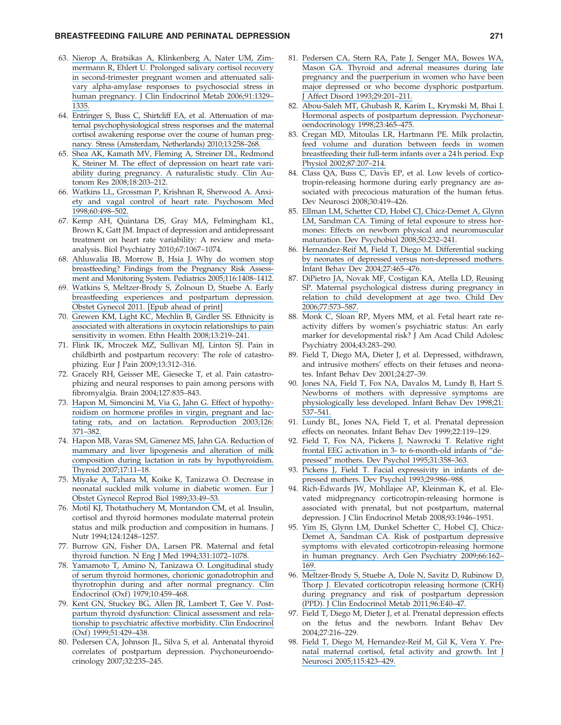- 63. [Nierop A, Bratsikas A, Klinkenberg A, Nater UM, Zim](https://www.researchgate.net/publication/7339955_Prolonged_Salivary_Cortisol_Recovery_in_Second-Trimester_Pregnant_Women_and_Attenuated_Salivary_a-Amylase_Responses_to_Psychosocial_Stress_in_Human_Pregnancy?el=1_x_8&enrichId=rgreq-9c536cbd-fa9f-496e-bb7b-8646c579ffd6&enrichSource=Y292ZXJQYWdlOzUxOTU0NzQ1O0FTOjEwMTkyMzY4ODU1MDQwN0AxNDAxMzExOTA5NzI0)[mermann R, Ehlert U. Prolonged salivary cortisol recovery](https://www.researchgate.net/publication/7339955_Prolonged_Salivary_Cortisol_Recovery_in_Second-Trimester_Pregnant_Women_and_Attenuated_Salivary_a-Amylase_Responses_to_Psychosocial_Stress_in_Human_Pregnancy?el=1_x_8&enrichId=rgreq-9c536cbd-fa9f-496e-bb7b-8646c579ffd6&enrichSource=Y292ZXJQYWdlOzUxOTU0NzQ1O0FTOjEwMTkyMzY4ODU1MDQwN0AxNDAxMzExOTA5NzI0) [in second-trimester pregnant women and attenuated sali](https://www.researchgate.net/publication/7339955_Prolonged_Salivary_Cortisol_Recovery_in_Second-Trimester_Pregnant_Women_and_Attenuated_Salivary_a-Amylase_Responses_to_Psychosocial_Stress_in_Human_Pregnancy?el=1_x_8&enrichId=rgreq-9c536cbd-fa9f-496e-bb7b-8646c579ffd6&enrichSource=Y292ZXJQYWdlOzUxOTU0NzQ1O0FTOjEwMTkyMzY4ODU1MDQwN0AxNDAxMzExOTA5NzI0)[vary alpha-amylase responses to psychosocial stress in](https://www.researchgate.net/publication/7339955_Prolonged_Salivary_Cortisol_Recovery_in_Second-Trimester_Pregnant_Women_and_Attenuated_Salivary_a-Amylase_Responses_to_Psychosocial_Stress_in_Human_Pregnancy?el=1_x_8&enrichId=rgreq-9c536cbd-fa9f-496e-bb7b-8646c579ffd6&enrichSource=Y292ZXJQYWdlOzUxOTU0NzQ1O0FTOjEwMTkyMzY4ODU1MDQwN0AxNDAxMzExOTA5NzI0) [human pregnancy. J Clin Endocrinol Metab 2006;91:1329–](https://www.researchgate.net/publication/7339955_Prolonged_Salivary_Cortisol_Recovery_in_Second-Trimester_Pregnant_Women_and_Attenuated_Salivary_a-Amylase_Responses_to_Psychosocial_Stress_in_Human_Pregnancy?el=1_x_8&enrichId=rgreq-9c536cbd-fa9f-496e-bb7b-8646c579ffd6&enrichSource=Y292ZXJQYWdlOzUxOTU0NzQ1O0FTOjEwMTkyMzY4ODU1MDQwN0AxNDAxMzExOTA5NzI0) [1335.](https://www.researchgate.net/publication/7339955_Prolonged_Salivary_Cortisol_Recovery_in_Second-Trimester_Pregnant_Women_and_Attenuated_Salivary_a-Amylase_Responses_to_Psychosocial_Stress_in_Human_Pregnancy?el=1_x_8&enrichId=rgreq-9c536cbd-fa9f-496e-bb7b-8646c579ffd6&enrichSource=Y292ZXJQYWdlOzUxOTU0NzQ1O0FTOjEwMTkyMzY4ODU1MDQwN0AxNDAxMzExOTA5NzI0)
- 64. [Entringer S, Buss C, Shirtcliff EA, et al. Attenuation of ma](https://www.researchgate.net/publication/284146032_Attenuation_of_maternal_psychophysiological_stress_responses_and_the_maternal_cortisol_awakening_response_over_the_course_of_human_pregnancy?el=1_x_8&enrichId=rgreq-9c536cbd-fa9f-496e-bb7b-8646c579ffd6&enrichSource=Y292ZXJQYWdlOzUxOTU0NzQ1O0FTOjEwMTkyMzY4ODU1MDQwN0AxNDAxMzExOTA5NzI0)[ternal psychophysiological stress responses and the maternal](https://www.researchgate.net/publication/284146032_Attenuation_of_maternal_psychophysiological_stress_responses_and_the_maternal_cortisol_awakening_response_over_the_course_of_human_pregnancy?el=1_x_8&enrichId=rgreq-9c536cbd-fa9f-496e-bb7b-8646c579ffd6&enrichSource=Y292ZXJQYWdlOzUxOTU0NzQ1O0FTOjEwMTkyMzY4ODU1MDQwN0AxNDAxMzExOTA5NzI0) [cortisol awakening response over the course of human preg](https://www.researchgate.net/publication/284146032_Attenuation_of_maternal_psychophysiological_stress_responses_and_the_maternal_cortisol_awakening_response_over_the_course_of_human_pregnancy?el=1_x_8&enrichId=rgreq-9c536cbd-fa9f-496e-bb7b-8646c579ffd6&enrichSource=Y292ZXJQYWdlOzUxOTU0NzQ1O0FTOjEwMTkyMzY4ODU1MDQwN0AxNDAxMzExOTA5NzI0)[nancy. Stress \(Amsterdam, Netherlands\) 2010;13:258–268.](https://www.researchgate.net/publication/284146032_Attenuation_of_maternal_psychophysiological_stress_responses_and_the_maternal_cortisol_awakening_response_over_the_course_of_human_pregnancy?el=1_x_8&enrichId=rgreq-9c536cbd-fa9f-496e-bb7b-8646c579ffd6&enrichSource=Y292ZXJQYWdlOzUxOTU0NzQ1O0FTOjEwMTkyMzY4ODU1MDQwN0AxNDAxMzExOTA5NzI0)
- 65. [Shea AK, Kamath MV, Fleming A, Streiner DL, Redmond](https://www.researchgate.net/publication/5259581_The_effect_of_depression_on_heart_rate_variability_during_pregnancy_A_naturalistic_study?el=1_x_8&enrichId=rgreq-9c536cbd-fa9f-496e-bb7b-8646c579ffd6&enrichSource=Y292ZXJQYWdlOzUxOTU0NzQ1O0FTOjEwMTkyMzY4ODU1MDQwN0AxNDAxMzExOTA5NzI0) [K, Steiner M. The effect of depression on heart rate vari](https://www.researchgate.net/publication/5259581_The_effect_of_depression_on_heart_rate_variability_during_pregnancy_A_naturalistic_study?el=1_x_8&enrichId=rgreq-9c536cbd-fa9f-496e-bb7b-8646c579ffd6&enrichSource=Y292ZXJQYWdlOzUxOTU0NzQ1O0FTOjEwMTkyMzY4ODU1MDQwN0AxNDAxMzExOTA5NzI0)[ability during pregnancy. A naturalistic study. Clin Au](https://www.researchgate.net/publication/5259581_The_effect_of_depression_on_heart_rate_variability_during_pregnancy_A_naturalistic_study?el=1_x_8&enrichId=rgreq-9c536cbd-fa9f-496e-bb7b-8646c579ffd6&enrichSource=Y292ZXJQYWdlOzUxOTU0NzQ1O0FTOjEwMTkyMzY4ODU1MDQwN0AxNDAxMzExOTA5NzI0)[tonom Res 2008;18:203–212.](https://www.researchgate.net/publication/5259581_The_effect_of_depression_on_heart_rate_variability_during_pregnancy_A_naturalistic_study?el=1_x_8&enrichId=rgreq-9c536cbd-fa9f-496e-bb7b-8646c579ffd6&enrichSource=Y292ZXJQYWdlOzUxOTU0NzQ1O0FTOjEwMTkyMzY4ODU1MDQwN0AxNDAxMzExOTA5NzI0)
- 66. [Watkins LL, Grossman P, Krishnan R, Sherwood A. Anxi](https://www.researchgate.net/publication/13575611_Anxiety_and_Vagal_Control_of_Heart_Rate?el=1_x_8&enrichId=rgreq-9c536cbd-fa9f-496e-bb7b-8646c579ffd6&enrichSource=Y292ZXJQYWdlOzUxOTU0NzQ1O0FTOjEwMTkyMzY4ODU1MDQwN0AxNDAxMzExOTA5NzI0)[ety and vagal control of heart rate. Psychosom Med](https://www.researchgate.net/publication/13575611_Anxiety_and_Vagal_Control_of_Heart_Rate?el=1_x_8&enrichId=rgreq-9c536cbd-fa9f-496e-bb7b-8646c579ffd6&enrichSource=Y292ZXJQYWdlOzUxOTU0NzQ1O0FTOjEwMTkyMzY4ODU1MDQwN0AxNDAxMzExOTA5NzI0) [1998;60:498–502.](https://www.researchgate.net/publication/13575611_Anxiety_and_Vagal_Control_of_Heart_Rate?el=1_x_8&enrichId=rgreq-9c536cbd-fa9f-496e-bb7b-8646c579ffd6&enrichSource=Y292ZXJQYWdlOzUxOTU0NzQ1O0FTOjEwMTkyMzY4ODU1MDQwN0AxNDAxMzExOTA5NzI0)
- 67. Kemp AH, Quintana DS, Gray MA, Felmingham KL, Brown K, Gatt JM. Impact of depression and antidepressant treatment on heart rate variability: A review and metaanalysis. Biol Psychiatry 2010;67:1067–1074.
- 68. [Ahluwalia IB, Morrow B, Hsia J. Why do women stop](https://www.researchgate.net/publication/7447225_Why_do_women_stop_breastfeeding_Findings_from_the_Pregnancy_Risk_Assessment_and_Monitoring_System?el=1_x_8&enrichId=rgreq-9c536cbd-fa9f-496e-bb7b-8646c579ffd6&enrichSource=Y292ZXJQYWdlOzUxOTU0NzQ1O0FTOjEwMTkyMzY4ODU1MDQwN0AxNDAxMzExOTA5NzI0) [breastfeeding? Findings from the Pregnancy Risk Assess](https://www.researchgate.net/publication/7447225_Why_do_women_stop_breastfeeding_Findings_from_the_Pregnancy_Risk_Assessment_and_Monitoring_System?el=1_x_8&enrichId=rgreq-9c536cbd-fa9f-496e-bb7b-8646c579ffd6&enrichSource=Y292ZXJQYWdlOzUxOTU0NzQ1O0FTOjEwMTkyMzY4ODU1MDQwN0AxNDAxMzExOTA5NzI0)[ment and Monitoring System. Pediatrics 2005;116:1408–1412.](https://www.researchgate.net/publication/7447225_Why_do_women_stop_breastfeeding_Findings_from_the_Pregnancy_Risk_Assessment_and_Monitoring_System?el=1_x_8&enrichId=rgreq-9c536cbd-fa9f-496e-bb7b-8646c579ffd6&enrichSource=Y292ZXJQYWdlOzUxOTU0NzQ1O0FTOjEwMTkyMzY4ODU1MDQwN0AxNDAxMzExOTA5NzI0)
- 69. [Watkins S, Meltzer-Brody S, Zolnoun D, Stuebe A. Early](https://www.researchgate.net/publication/51472545_Early_Breastfeeding_Experiences_and_Postpartum_Depression?el=1_x_8&enrichId=rgreq-9c536cbd-fa9f-496e-bb7b-8646c579ffd6&enrichSource=Y292ZXJQYWdlOzUxOTU0NzQ1O0FTOjEwMTkyMzY4ODU1MDQwN0AxNDAxMzExOTA5NzI0) [breastfeeding experiences and postpartum depression.](https://www.researchgate.net/publication/51472545_Early_Breastfeeding_Experiences_and_Postpartum_Depression?el=1_x_8&enrichId=rgreq-9c536cbd-fa9f-496e-bb7b-8646c579ffd6&enrichSource=Y292ZXJQYWdlOzUxOTU0NzQ1O0FTOjEwMTkyMzY4ODU1MDQwN0AxNDAxMzExOTA5NzI0) [Obstet Gynecol 2011. \[Epub ahead of print\]](https://www.researchgate.net/publication/51472545_Early_Breastfeeding_Experiences_and_Postpartum_Depression?el=1_x_8&enrichId=rgreq-9c536cbd-fa9f-496e-bb7b-8646c579ffd6&enrichSource=Y292ZXJQYWdlOzUxOTU0NzQ1O0FTOjEwMTkyMzY4ODU1MDQwN0AxNDAxMzExOTA5NzI0)
- 70. [Grewen KM, Light KC, Mechlin B, Girdler SS. Ethnicity is](https://www.researchgate.net/publication/5287560_Ethnicity_is_associated_with_alterations_in_oxytocin_relationships_to_pain_sensitivity_in_women?el=1_x_8&enrichId=rgreq-9c536cbd-fa9f-496e-bb7b-8646c579ffd6&enrichSource=Y292ZXJQYWdlOzUxOTU0NzQ1O0FTOjEwMTkyMzY4ODU1MDQwN0AxNDAxMzExOTA5NzI0) [associated with alterations in oxytocin relationships to pain](https://www.researchgate.net/publication/5287560_Ethnicity_is_associated_with_alterations_in_oxytocin_relationships_to_pain_sensitivity_in_women?el=1_x_8&enrichId=rgreq-9c536cbd-fa9f-496e-bb7b-8646c579ffd6&enrichSource=Y292ZXJQYWdlOzUxOTU0NzQ1O0FTOjEwMTkyMzY4ODU1MDQwN0AxNDAxMzExOTA5NzI0) [sensitivity in women. Ethn Health 2008;13:219–241.](https://www.researchgate.net/publication/5287560_Ethnicity_is_associated_with_alterations_in_oxytocin_relationships_to_pain_sensitivity_in_women?el=1_x_8&enrichId=rgreq-9c536cbd-fa9f-496e-bb7b-8646c579ffd6&enrichSource=Y292ZXJQYWdlOzUxOTU0NzQ1O0FTOjEwMTkyMzY4ODU1MDQwN0AxNDAxMzExOTA5NzI0)
- 71. Flink IK, Mroczek MZ, Sullivan MJ, Linton SJ. Pain in childbirth and postpartum recovery: The role of catastrophizing. Eur J Pain 2009;13:312–316.
- 72. Gracely RH, Geisser ME, Giesecke T, et al. Pain catastrophizing and neural responses to pain among persons with fibromyalgia. Brain 2004;127:835–843.
- 73. [Hapon M, Simoncini M, Via G, Jahn G. Effect of hypothy](https://www.researchgate.net/publication/10572028_Effect_of_hypothyroidism_on_hormone_profiles_in_virgin_pregnant_and_lactating_rats_and_on_lactation?el=1_x_8&enrichId=rgreq-9c536cbd-fa9f-496e-bb7b-8646c579ffd6&enrichSource=Y292ZXJQYWdlOzUxOTU0NzQ1O0FTOjEwMTkyMzY4ODU1MDQwN0AxNDAxMzExOTA5NzI0)[roidism on hormone profiles in virgin, pregnant and lac](https://www.researchgate.net/publication/10572028_Effect_of_hypothyroidism_on_hormone_profiles_in_virgin_pregnant_and_lactating_rats_and_on_lactation?el=1_x_8&enrichId=rgreq-9c536cbd-fa9f-496e-bb7b-8646c579ffd6&enrichSource=Y292ZXJQYWdlOzUxOTU0NzQ1O0FTOjEwMTkyMzY4ODU1MDQwN0AxNDAxMzExOTA5NzI0)[tating rats, and on lactation. Reproduction 2003;126:](https://www.researchgate.net/publication/10572028_Effect_of_hypothyroidism_on_hormone_profiles_in_virgin_pregnant_and_lactating_rats_and_on_lactation?el=1_x_8&enrichId=rgreq-9c536cbd-fa9f-496e-bb7b-8646c579ffd6&enrichSource=Y292ZXJQYWdlOzUxOTU0NzQ1O0FTOjEwMTkyMzY4ODU1MDQwN0AxNDAxMzExOTA5NzI0) [371–382.](https://www.researchgate.net/publication/10572028_Effect_of_hypothyroidism_on_hormone_profiles_in_virgin_pregnant_and_lactating_rats_and_on_lactation?el=1_x_8&enrichId=rgreq-9c536cbd-fa9f-496e-bb7b-8646c579ffd6&enrichSource=Y292ZXJQYWdlOzUxOTU0NzQ1O0FTOjEwMTkyMzY4ODU1MDQwN0AxNDAxMzExOTA5NzI0)
- 74. [Hapon MB, Varas SM, Gimenez MS, Jahn GA. Reduction of](https://www.researchgate.net/publication/6529456_Reduction_of_Mammary_and_Liver_Lipogenesis_and_Alteration_of_Milk_Composition_during_Lactation_in_Rats_by_Hypothyroidism?el=1_x_8&enrichId=rgreq-9c536cbd-fa9f-496e-bb7b-8646c579ffd6&enrichSource=Y292ZXJQYWdlOzUxOTU0NzQ1O0FTOjEwMTkyMzY4ODU1MDQwN0AxNDAxMzExOTA5NzI0) [mammary and liver lipogenesis and alteration of milk](https://www.researchgate.net/publication/6529456_Reduction_of_Mammary_and_Liver_Lipogenesis_and_Alteration_of_Milk_Composition_during_Lactation_in_Rats_by_Hypothyroidism?el=1_x_8&enrichId=rgreq-9c536cbd-fa9f-496e-bb7b-8646c579ffd6&enrichSource=Y292ZXJQYWdlOzUxOTU0NzQ1O0FTOjEwMTkyMzY4ODU1MDQwN0AxNDAxMzExOTA5NzI0) [composition during lactation in rats by hypothyroidism.](https://www.researchgate.net/publication/6529456_Reduction_of_Mammary_and_Liver_Lipogenesis_and_Alteration_of_Milk_Composition_during_Lactation_in_Rats_by_Hypothyroidism?el=1_x_8&enrichId=rgreq-9c536cbd-fa9f-496e-bb7b-8646c579ffd6&enrichSource=Y292ZXJQYWdlOzUxOTU0NzQ1O0FTOjEwMTkyMzY4ODU1MDQwN0AxNDAxMzExOTA5NzI0) [Thyroid 2007;17:11–18.](https://www.researchgate.net/publication/6529456_Reduction_of_Mammary_and_Liver_Lipogenesis_and_Alteration_of_Milk_Composition_during_Lactation_in_Rats_by_Hypothyroidism?el=1_x_8&enrichId=rgreq-9c536cbd-fa9f-496e-bb7b-8646c579ffd6&enrichSource=Y292ZXJQYWdlOzUxOTU0NzQ1O0FTOjEwMTkyMzY4ODU1MDQwN0AxNDAxMzExOTA5NzI0)
- 75. [Miyake A, Tahara M, Koike K, Tanizawa O. Decrease in](https://www.researchgate.net/publication/20348951_Decrease_in_neonatal_suckled_milk_volume_in_diabetic_women?el=1_x_8&enrichId=rgreq-9c536cbd-fa9f-496e-bb7b-8646c579ffd6&enrichSource=Y292ZXJQYWdlOzUxOTU0NzQ1O0FTOjEwMTkyMzY4ODU1MDQwN0AxNDAxMzExOTA5NzI0) [neonatal suckled milk volume in diabetic women. Eur J](https://www.researchgate.net/publication/20348951_Decrease_in_neonatal_suckled_milk_volume_in_diabetic_women?el=1_x_8&enrichId=rgreq-9c536cbd-fa9f-496e-bb7b-8646c579ffd6&enrichSource=Y292ZXJQYWdlOzUxOTU0NzQ1O0FTOjEwMTkyMzY4ODU1MDQwN0AxNDAxMzExOTA5NzI0) [Obstet Gynecol Reprod Biol 1989;33:49–53.](https://www.researchgate.net/publication/20348951_Decrease_in_neonatal_suckled_milk_volume_in_diabetic_women?el=1_x_8&enrichId=rgreq-9c536cbd-fa9f-496e-bb7b-8646c579ffd6&enrichSource=Y292ZXJQYWdlOzUxOTU0NzQ1O0FTOjEwMTkyMzY4ODU1MDQwN0AxNDAxMzExOTA5NzI0)
- 76. Motil KJ, Thotathuchery M, Montandon CM, et al. Insulin, cortisol and thyroid hormones modulate maternal protein status and milk production and composition in humans. J Nutr 1994;124:1248–1257.
- 77. [Burrow GN, Fisher DA, Larsen PR. Maternal and fetal](https://www.researchgate.net/publication/15109419_Maternal_and_Fetal_Thyroid_Function?el=1_x_8&enrichId=rgreq-9c536cbd-fa9f-496e-bb7b-8646c579ffd6&enrichSource=Y292ZXJQYWdlOzUxOTU0NzQ1O0FTOjEwMTkyMzY4ODU1MDQwN0AxNDAxMzExOTA5NzI0) [thyroid function. N Eng J Med 1994;331:1072–1078.](https://www.researchgate.net/publication/15109419_Maternal_and_Fetal_Thyroid_Function?el=1_x_8&enrichId=rgreq-9c536cbd-fa9f-496e-bb7b-8646c579ffd6&enrichSource=Y292ZXJQYWdlOzUxOTU0NzQ1O0FTOjEwMTkyMzY4ODU1MDQwN0AxNDAxMzExOTA5NzI0)
- 78. [Yamamoto T, Amino N, Tanizawa O. Longitudinal study](https://www.researchgate.net/publication/23022157_Longitudinal_study_of_serum_thyroid_hormones_chorionic_gonadotrophin_and_thyrotrophin_during_and_after_normal_pregnancy?el=1_x_8&enrichId=rgreq-9c536cbd-fa9f-496e-bb7b-8646c579ffd6&enrichSource=Y292ZXJQYWdlOzUxOTU0NzQ1O0FTOjEwMTkyMzY4ODU1MDQwN0AxNDAxMzExOTA5NzI0) [of serum thyroid hormones, chorionic gonadotrophin and](https://www.researchgate.net/publication/23022157_Longitudinal_study_of_serum_thyroid_hormones_chorionic_gonadotrophin_and_thyrotrophin_during_and_after_normal_pregnancy?el=1_x_8&enrichId=rgreq-9c536cbd-fa9f-496e-bb7b-8646c579ffd6&enrichSource=Y292ZXJQYWdlOzUxOTU0NzQ1O0FTOjEwMTkyMzY4ODU1MDQwN0AxNDAxMzExOTA5NzI0) [thyrotrophin during and after normal pregnancy. Clin](https://www.researchgate.net/publication/23022157_Longitudinal_study_of_serum_thyroid_hormones_chorionic_gonadotrophin_and_thyrotrophin_during_and_after_normal_pregnancy?el=1_x_8&enrichId=rgreq-9c536cbd-fa9f-496e-bb7b-8646c579ffd6&enrichSource=Y292ZXJQYWdlOzUxOTU0NzQ1O0FTOjEwMTkyMzY4ODU1MDQwN0AxNDAxMzExOTA5NzI0) Endocrinol (Oxf) 1979;10:459-468.
- 79. [Kent GN, Stuckey BG, Allen JR, Lambert T, Gee V. Post](https://www.researchgate.net/publication/12718608_Postpartum_thyroid_dysfunction_Clinical_assessment_and_relationship_to_psychiatric_affective_morbidity?el=1_x_8&enrichId=rgreq-9c536cbd-fa9f-496e-bb7b-8646c579ffd6&enrichSource=Y292ZXJQYWdlOzUxOTU0NzQ1O0FTOjEwMTkyMzY4ODU1MDQwN0AxNDAxMzExOTA5NzI0)[partum thyroid dysfunction: Clinical assessment and rela](https://www.researchgate.net/publication/12718608_Postpartum_thyroid_dysfunction_Clinical_assessment_and_relationship_to_psychiatric_affective_morbidity?el=1_x_8&enrichId=rgreq-9c536cbd-fa9f-496e-bb7b-8646c579ffd6&enrichSource=Y292ZXJQYWdlOzUxOTU0NzQ1O0FTOjEwMTkyMzY4ODU1MDQwN0AxNDAxMzExOTA5NzI0)[tionship to psychiatric affective morbidity. Clin Endocrinol](https://www.researchgate.net/publication/12718608_Postpartum_thyroid_dysfunction_Clinical_assessment_and_relationship_to_psychiatric_affective_morbidity?el=1_x_8&enrichId=rgreq-9c536cbd-fa9f-496e-bb7b-8646c579ffd6&enrichSource=Y292ZXJQYWdlOzUxOTU0NzQ1O0FTOjEwMTkyMzY4ODU1MDQwN0AxNDAxMzExOTA5NzI0) [\(Oxf\) 1999;51:429–438.](https://www.researchgate.net/publication/12718608_Postpartum_thyroid_dysfunction_Clinical_assessment_and_relationship_to_psychiatric_affective_morbidity?el=1_x_8&enrichId=rgreq-9c536cbd-fa9f-496e-bb7b-8646c579ffd6&enrichSource=Y292ZXJQYWdlOzUxOTU0NzQ1O0FTOjEwMTkyMzY4ODU1MDQwN0AxNDAxMzExOTA5NzI0)
- 80. Pedersen CA, Johnson JL, Silva S, et al. Antenatal thyroid correlates of postpartum depression. Psychoneuroendocrinology 2007;32:235–245.
- 81. [Pedersen CA, Stern RA, Pate J, Senger MA, Bowes WA,](https://www.researchgate.net/publication/223847469_Thyroid_and_adrenal_measures_during_late_pregnancy_and_the_puerperium_in_women_who_have_been_major_depressed_or_who_become_dysphoric_postpartum?el=1_x_8&enrichId=rgreq-9c536cbd-fa9f-496e-bb7b-8646c579ffd6&enrichSource=Y292ZXJQYWdlOzUxOTU0NzQ1O0FTOjEwMTkyMzY4ODU1MDQwN0AxNDAxMzExOTA5NzI0) [Mason GA. Thyroid and adrenal measures during late](https://www.researchgate.net/publication/223847469_Thyroid_and_adrenal_measures_during_late_pregnancy_and_the_puerperium_in_women_who_have_been_major_depressed_or_who_become_dysphoric_postpartum?el=1_x_8&enrichId=rgreq-9c536cbd-fa9f-496e-bb7b-8646c579ffd6&enrichSource=Y292ZXJQYWdlOzUxOTU0NzQ1O0FTOjEwMTkyMzY4ODU1MDQwN0AxNDAxMzExOTA5NzI0) [pregnancy and the puerperium in women who have been](https://www.researchgate.net/publication/223847469_Thyroid_and_adrenal_measures_during_late_pregnancy_and_the_puerperium_in_women_who_have_been_major_depressed_or_who_become_dysphoric_postpartum?el=1_x_8&enrichId=rgreq-9c536cbd-fa9f-496e-bb7b-8646c579ffd6&enrichSource=Y292ZXJQYWdlOzUxOTU0NzQ1O0FTOjEwMTkyMzY4ODU1MDQwN0AxNDAxMzExOTA5NzI0) [major depressed or who become dysphoric postpartum.](https://www.researchgate.net/publication/223847469_Thyroid_and_adrenal_measures_during_late_pregnancy_and_the_puerperium_in_women_who_have_been_major_depressed_or_who_become_dysphoric_postpartum?el=1_x_8&enrichId=rgreq-9c536cbd-fa9f-496e-bb7b-8646c579ffd6&enrichSource=Y292ZXJQYWdlOzUxOTU0NzQ1O0FTOjEwMTkyMzY4ODU1MDQwN0AxNDAxMzExOTA5NzI0) [J Affect Disord 1993;29:201–211.](https://www.researchgate.net/publication/223847469_Thyroid_and_adrenal_measures_during_late_pregnancy_and_the_puerperium_in_women_who_have_been_major_depressed_or_who_become_dysphoric_postpartum?el=1_x_8&enrichId=rgreq-9c536cbd-fa9f-496e-bb7b-8646c579ffd6&enrichSource=Y292ZXJQYWdlOzUxOTU0NzQ1O0FTOjEwMTkyMzY4ODU1MDQwN0AxNDAxMzExOTA5NzI0)
- 82. [Abou-Saleh MT, Ghubash R, Karim L, Krymski M, Bhai I.](https://www.researchgate.net/publication/13484639_Hormonal_aspects_of_postpartum_depression?el=1_x_8&enrichId=rgreq-9c536cbd-fa9f-496e-bb7b-8646c579ffd6&enrichSource=Y292ZXJQYWdlOzUxOTU0NzQ1O0FTOjEwMTkyMzY4ODU1MDQwN0AxNDAxMzExOTA5NzI0) [Hormonal aspects of postpartum depression. Psychoneur](https://www.researchgate.net/publication/13484639_Hormonal_aspects_of_postpartum_depression?el=1_x_8&enrichId=rgreq-9c536cbd-fa9f-496e-bb7b-8646c579ffd6&enrichSource=Y292ZXJQYWdlOzUxOTU0NzQ1O0FTOjEwMTkyMzY4ODU1MDQwN0AxNDAxMzExOTA5NzI0)[oendocrinology 1998;23:465–475.](https://www.researchgate.net/publication/13484639_Hormonal_aspects_of_postpartum_depression?el=1_x_8&enrichId=rgreq-9c536cbd-fa9f-496e-bb7b-8646c579ffd6&enrichSource=Y292ZXJQYWdlOzUxOTU0NzQ1O0FTOjEwMTkyMzY4ODU1MDQwN0AxNDAxMzExOTA5NzI0)
- 83. [Cregan MD, Mitoulas LR, Hartmann PE. Milk prolactin,](https://www.researchgate.net/publication/11504807_Milk_Prolactin_Feed_Volume_and_Duration_Between_Feeds_in_Women_Breastfeeding_Their_Full-Term_Infants_Over_a_24_h_Period?el=1_x_8&enrichId=rgreq-9c536cbd-fa9f-496e-bb7b-8646c579ffd6&enrichSource=Y292ZXJQYWdlOzUxOTU0NzQ1O0FTOjEwMTkyMzY4ODU1MDQwN0AxNDAxMzExOTA5NzI0) [feed volume and duration between feeds in women](https://www.researchgate.net/publication/11504807_Milk_Prolactin_Feed_Volume_and_Duration_Between_Feeds_in_Women_Breastfeeding_Their_Full-Term_Infants_Over_a_24_h_Period?el=1_x_8&enrichId=rgreq-9c536cbd-fa9f-496e-bb7b-8646c579ffd6&enrichSource=Y292ZXJQYWdlOzUxOTU0NzQ1O0FTOjEwMTkyMzY4ODU1MDQwN0AxNDAxMzExOTA5NzI0) [breastfeeding their full-term infants over a 24 h period. Exp](https://www.researchgate.net/publication/11504807_Milk_Prolactin_Feed_Volume_and_Duration_Between_Feeds_in_Women_Breastfeeding_Their_Full-Term_Infants_Over_a_24_h_Period?el=1_x_8&enrichId=rgreq-9c536cbd-fa9f-496e-bb7b-8646c579ffd6&enrichSource=Y292ZXJQYWdlOzUxOTU0NzQ1O0FTOjEwMTkyMzY4ODU1MDQwN0AxNDAxMzExOTA5NzI0) [Physiol 2002;87:207–214.](https://www.researchgate.net/publication/11504807_Milk_Prolactin_Feed_Volume_and_Duration_Between_Feeds_in_Women_Breastfeeding_Their_Full-Term_Infants_Over_a_24_h_Period?el=1_x_8&enrichId=rgreq-9c536cbd-fa9f-496e-bb7b-8646c579ffd6&enrichSource=Y292ZXJQYWdlOzUxOTU0NzQ1O0FTOjEwMTkyMzY4ODU1MDQwN0AxNDAxMzExOTA5NzI0)
- 84. Class QA, Buss C, Davis EP, et al. Low levels of corticotropin-releasing hormone during early pregnancy are associated with precocious maturation of the human fetus. Dev Neurosci 2008;30:419–426.
- 85. [Ellman LM, Schetter CD, Hobel CJ, Chicz-Demet A, Glynn](https://www.researchgate.net/publication/5517771_Timing_of_fetal_exposure_to_stress_hormones_Effects_on_newborn_physical_and_neuromuscular_maturation_Research_Support_NIH_Extramural_Research_Support_Non-US_Gov) [LM, Sandman CA. Timing of fetal exposure to stress hor](https://www.researchgate.net/publication/5517771_Timing_of_fetal_exposure_to_stress_hormones_Effects_on_newborn_physical_and_neuromuscular_maturation_Research_Support_NIH_Extramural_Research_Support_Non-US_Gov)[mones: Effects on newborn physical and neuromuscular](https://www.researchgate.net/publication/5517771_Timing_of_fetal_exposure_to_stress_hormones_Effects_on_newborn_physical_and_neuromuscular_maturation_Research_Support_NIH_Extramural_Research_Support_Non-US_Gov) [maturation. Dev Psychobiol 2008;50:232–241.](https://www.researchgate.net/publication/5517771_Timing_of_fetal_exposure_to_stress_hormones_Effects_on_newborn_physical_and_neuromuscular_maturation_Research_Support_NIH_Extramural_Research_Support_Non-US_Gov)
- 86. [Hernandez-Reif M, Field T, Diego M. Differential sucking](https://www.researchgate.net/publication/222616596_Differential_sucking_by_neonates_of_depressed_versus_non-depressed_mothers?el=1_x_8&enrichId=rgreq-9c536cbd-fa9f-496e-bb7b-8646c579ffd6&enrichSource=Y292ZXJQYWdlOzUxOTU0NzQ1O0FTOjEwMTkyMzY4ODU1MDQwN0AxNDAxMzExOTA5NzI0) [by neonates of depressed versus non-depressed mothers.](https://www.researchgate.net/publication/222616596_Differential_sucking_by_neonates_of_depressed_versus_non-depressed_mothers?el=1_x_8&enrichId=rgreq-9c536cbd-fa9f-496e-bb7b-8646c579ffd6&enrichSource=Y292ZXJQYWdlOzUxOTU0NzQ1O0FTOjEwMTkyMzY4ODU1MDQwN0AxNDAxMzExOTA5NzI0) [Infant Behav Dev 2004;27:465–476.](https://www.researchgate.net/publication/222616596_Differential_sucking_by_neonates_of_depressed_versus_non-depressed_mothers?el=1_x_8&enrichId=rgreq-9c536cbd-fa9f-496e-bb7b-8646c579ffd6&enrichSource=Y292ZXJQYWdlOzUxOTU0NzQ1O0FTOjEwMTkyMzY4ODU1MDQwN0AxNDAxMzExOTA5NzI0)
- 87. [DiPietro JA, Novak MF, Costigan KA, Atella LD, Reusing](https://www.researchgate.net/publication/7094111_Maternal_Psychological_Distress_During_Pregnancy_in_Relation_to_Child_Development_at_Age_Two?el=1_x_8&enrichId=rgreq-9c536cbd-fa9f-496e-bb7b-8646c579ffd6&enrichSource=Y292ZXJQYWdlOzUxOTU0NzQ1O0FTOjEwMTkyMzY4ODU1MDQwN0AxNDAxMzExOTA5NzI0) [SP. Maternal psychological distress during pregnancy in](https://www.researchgate.net/publication/7094111_Maternal_Psychological_Distress_During_Pregnancy_in_Relation_to_Child_Development_at_Age_Two?el=1_x_8&enrichId=rgreq-9c536cbd-fa9f-496e-bb7b-8646c579ffd6&enrichSource=Y292ZXJQYWdlOzUxOTU0NzQ1O0FTOjEwMTkyMzY4ODU1MDQwN0AxNDAxMzExOTA5NzI0) [relation to child development at age two. Child Dev](https://www.researchgate.net/publication/7094111_Maternal_Psychological_Distress_During_Pregnancy_in_Relation_to_Child_Development_at_Age_Two?el=1_x_8&enrichId=rgreq-9c536cbd-fa9f-496e-bb7b-8646c579ffd6&enrichSource=Y292ZXJQYWdlOzUxOTU0NzQ1O0FTOjEwMTkyMzY4ODU1MDQwN0AxNDAxMzExOTA5NzI0) [2006;77:573–587.](https://www.researchgate.net/publication/7094111_Maternal_Psychological_Distress_During_Pregnancy_in_Relation_to_Child_Development_at_Age_Two?el=1_x_8&enrichId=rgreq-9c536cbd-fa9f-496e-bb7b-8646c579ffd6&enrichSource=Y292ZXJQYWdlOzUxOTU0NzQ1O0FTOjEwMTkyMzY4ODU1MDQwN0AxNDAxMzExOTA5NzI0)
- 88. Monk C, Sloan RP, Myers MM, et al. Fetal heart rate reactivity differs by women's psychiatric status: An early marker for developmental risk? J Am Acad Child Adolesc Psychiatry 2004;43:283–290.
- 89. Field T, Diego MA, Dieter J, et al. Depressed, withdrawn, and intrusive mothers' effects on their fetuses and neonates. Infant Behav Dev 2001;24:27–39.
- 90. [Jones NA, Field T, Fox NA, Davalos M, Lundy B, Hart S.](https://www.researchgate.net/publication/297915020_Newborns_of_mothers_with_depressive_symptoms_are_physiologically_less_developed?el=1_x_8&enrichId=rgreq-9c536cbd-fa9f-496e-bb7b-8646c579ffd6&enrichSource=Y292ZXJQYWdlOzUxOTU0NzQ1O0FTOjEwMTkyMzY4ODU1MDQwN0AxNDAxMzExOTA5NzI0) [Newborns of mothers with depressive symptoms are](https://www.researchgate.net/publication/297915020_Newborns_of_mothers_with_depressive_symptoms_are_physiologically_less_developed?el=1_x_8&enrichId=rgreq-9c536cbd-fa9f-496e-bb7b-8646c579ffd6&enrichSource=Y292ZXJQYWdlOzUxOTU0NzQ1O0FTOjEwMTkyMzY4ODU1MDQwN0AxNDAxMzExOTA5NzI0) [physiologically less developed. Infant Behav Dev 1998;21:](https://www.researchgate.net/publication/297915020_Newborns_of_mothers_with_depressive_symptoms_are_physiologically_less_developed?el=1_x_8&enrichId=rgreq-9c536cbd-fa9f-496e-bb7b-8646c579ffd6&enrichSource=Y292ZXJQYWdlOzUxOTU0NzQ1O0FTOjEwMTkyMzY4ODU1MDQwN0AxNDAxMzExOTA5NzI0) [537–541.](https://www.researchgate.net/publication/297915020_Newborns_of_mothers_with_depressive_symptoms_are_physiologically_less_developed?el=1_x_8&enrichId=rgreq-9c536cbd-fa9f-496e-bb7b-8646c579ffd6&enrichSource=Y292ZXJQYWdlOzUxOTU0NzQ1O0FTOjEwMTkyMzY4ODU1MDQwN0AxNDAxMzExOTA5NzI0)
- 91. Lundy BL, Jones NA, Field T, et al. Prenatal depression effects on neonates. Infant Behav Dev 1999;22:119–129.
- 92. [Field T, Fox NA, Pickens J, Nawrocki T. Relative right](https://www.researchgate.net/publication/232521270_Relative_Right_Frontal_EEG_Activation_in_3-_to_6-Month-Old_Infants_of_Depressed_Mothers?el=1_x_8&enrichId=rgreq-9c536cbd-fa9f-496e-bb7b-8646c579ffd6&enrichSource=Y292ZXJQYWdlOzUxOTU0NzQ1O0FTOjEwMTkyMzY4ODU1MDQwN0AxNDAxMzExOTA5NzI0) [frontal EEG activation in 3- to 6-month-old infants of ''de](https://www.researchgate.net/publication/232521270_Relative_Right_Frontal_EEG_Activation_in_3-_to_6-Month-Old_Infants_of_Depressed_Mothers?el=1_x_8&enrichId=rgreq-9c536cbd-fa9f-496e-bb7b-8646c579ffd6&enrichSource=Y292ZXJQYWdlOzUxOTU0NzQ1O0FTOjEwMTkyMzY4ODU1MDQwN0AxNDAxMzExOTA5NzI0)[pressed'' mothers. Dev Psychol 1995;31:358–363.](https://www.researchgate.net/publication/232521270_Relative_Right_Frontal_EEG_Activation_in_3-_to_6-Month-Old_Infants_of_Depressed_Mothers?el=1_x_8&enrichId=rgreq-9c536cbd-fa9f-496e-bb7b-8646c579ffd6&enrichSource=Y292ZXJQYWdlOzUxOTU0NzQ1O0FTOjEwMTkyMzY4ODU1MDQwN0AxNDAxMzExOTA5NzI0)
- 93. [Pickens J, Field T. Facial expressivity in infants of de](https://www.researchgate.net/publication/232565319_Facial_Expressivity_in_Infants_of_Depressed_Mothers?el=1_x_8&enrichId=rgreq-9c536cbd-fa9f-496e-bb7b-8646c579ffd6&enrichSource=Y292ZXJQYWdlOzUxOTU0NzQ1O0FTOjEwMTkyMzY4ODU1MDQwN0AxNDAxMzExOTA5NzI0)[pressed mothers. Dev Psychol 1993;29:986–988.](https://www.researchgate.net/publication/232565319_Facial_Expressivity_in_Infants_of_Depressed_Mothers?el=1_x_8&enrichId=rgreq-9c536cbd-fa9f-496e-bb7b-8646c579ffd6&enrichSource=Y292ZXJQYWdlOzUxOTU0NzQ1O0FTOjEwMTkyMzY4ODU1MDQwN0AxNDAxMzExOTA5NzI0)
- 94. Rich-Edwards JW, Mohllajee AP, Kleinman K, et al. Elevated midpregnancy corticotropin-releasing hormone is associated with prenatal, but not postpartum, maternal depression. J Clin Endocrinol Metab 2008;93:1946–1951.
- 95. [Yim IS, Glynn LM, Dunkel Schetter C, Hobel CJ, Chicz-](https://www.researchgate.net/publication/23972628_Risk_of_Postpartum_Depressive_Symptoms_With_Elevated_Corticotropin-Releasing_Hormone_in_Human_Pregnancy?el=1_x_8&enrichId=rgreq-9c536cbd-fa9f-496e-bb7b-8646c579ffd6&enrichSource=Y292ZXJQYWdlOzUxOTU0NzQ1O0FTOjEwMTkyMzY4ODU1MDQwN0AxNDAxMzExOTA5NzI0)[Demet A, Sandman CA. Risk of postpartum depressive](https://www.researchgate.net/publication/23972628_Risk_of_Postpartum_Depressive_Symptoms_With_Elevated_Corticotropin-Releasing_Hormone_in_Human_Pregnancy?el=1_x_8&enrichId=rgreq-9c536cbd-fa9f-496e-bb7b-8646c579ffd6&enrichSource=Y292ZXJQYWdlOzUxOTU0NzQ1O0FTOjEwMTkyMzY4ODU1MDQwN0AxNDAxMzExOTA5NzI0) [symptoms with elevated corticotropin-releasing hormone](https://www.researchgate.net/publication/23972628_Risk_of_Postpartum_Depressive_Symptoms_With_Elevated_Corticotropin-Releasing_Hormone_in_Human_Pregnancy?el=1_x_8&enrichId=rgreq-9c536cbd-fa9f-496e-bb7b-8646c579ffd6&enrichSource=Y292ZXJQYWdlOzUxOTU0NzQ1O0FTOjEwMTkyMzY4ODU1MDQwN0AxNDAxMzExOTA5NzI0) [in human pregnancy. Arch Gen Psychiatry 2009;66:162–](https://www.researchgate.net/publication/23972628_Risk_of_Postpartum_Depressive_Symptoms_With_Elevated_Corticotropin-Releasing_Hormone_in_Human_Pregnancy?el=1_x_8&enrichId=rgreq-9c536cbd-fa9f-496e-bb7b-8646c579ffd6&enrichSource=Y292ZXJQYWdlOzUxOTU0NzQ1O0FTOjEwMTkyMzY4ODU1MDQwN0AxNDAxMzExOTA5NzI0) [169.](https://www.researchgate.net/publication/23972628_Risk_of_Postpartum_Depressive_Symptoms_With_Elevated_Corticotropin-Releasing_Hormone_in_Human_Pregnancy?el=1_x_8&enrichId=rgreq-9c536cbd-fa9f-496e-bb7b-8646c579ffd6&enrichSource=Y292ZXJQYWdlOzUxOTU0NzQ1O0FTOjEwMTkyMzY4ODU1MDQwN0AxNDAxMzExOTA5NzI0)
- 96. [Meltzer-Brody S, Stuebe A, Dole N, Savitz D, Rubinow D,](https://www.researchgate.net/publication/47414706_Elevated_Corticotropin_Releasing_Hormone_CRH_during_Pregnancy_and_Risk_of_Postpartum_Depression_PPD?el=1_x_8&enrichId=rgreq-9c536cbd-fa9f-496e-bb7b-8646c579ffd6&enrichSource=Y292ZXJQYWdlOzUxOTU0NzQ1O0FTOjEwMTkyMzY4ODU1MDQwN0AxNDAxMzExOTA5NzI0) [Thorp J. Elevated corticotropin releasing hormone \(CRH\)](https://www.researchgate.net/publication/47414706_Elevated_Corticotropin_Releasing_Hormone_CRH_during_Pregnancy_and_Risk_of_Postpartum_Depression_PPD?el=1_x_8&enrichId=rgreq-9c536cbd-fa9f-496e-bb7b-8646c579ffd6&enrichSource=Y292ZXJQYWdlOzUxOTU0NzQ1O0FTOjEwMTkyMzY4ODU1MDQwN0AxNDAxMzExOTA5NzI0) [during pregnancy and risk of postpartum depression](https://www.researchgate.net/publication/47414706_Elevated_Corticotropin_Releasing_Hormone_CRH_during_Pregnancy_and_Risk_of_Postpartum_Depression_PPD?el=1_x_8&enrichId=rgreq-9c536cbd-fa9f-496e-bb7b-8646c579ffd6&enrichSource=Y292ZXJQYWdlOzUxOTU0NzQ1O0FTOjEwMTkyMzY4ODU1MDQwN0AxNDAxMzExOTA5NzI0) [\(PPD\). J Clin Endocrinol Metab 2011;96:E40–47.](https://www.researchgate.net/publication/47414706_Elevated_Corticotropin_Releasing_Hormone_CRH_during_Pregnancy_and_Risk_of_Postpartum_Depression_PPD?el=1_x_8&enrichId=rgreq-9c536cbd-fa9f-496e-bb7b-8646c579ffd6&enrichSource=Y292ZXJQYWdlOzUxOTU0NzQ1O0FTOjEwMTkyMzY4ODU1MDQwN0AxNDAxMzExOTA5NzI0)
- 97. Field T, Diego M, Dieter J, et al. Prenatal depression effects on the fetus and the newborn. Infant Behav Dev 2004;27:216–229.
- 98. [Field T, Diego M, Hernandez-Reif M, Gil K, Vera Y. Pre](https://www.researchgate.net/publication/7912167_Prenatal_maternal_cortisol_fetal_activity_and_growth?el=1_x_8&enrichId=rgreq-9c536cbd-fa9f-496e-bb7b-8646c579ffd6&enrichSource=Y292ZXJQYWdlOzUxOTU0NzQ1O0FTOjEwMTkyMzY4ODU1MDQwN0AxNDAxMzExOTA5NzI0)[natal maternal cortisol, fetal activity and growth. Int J](https://www.researchgate.net/publication/7912167_Prenatal_maternal_cortisol_fetal_activity_and_growth?el=1_x_8&enrichId=rgreq-9c536cbd-fa9f-496e-bb7b-8646c579ffd6&enrichSource=Y292ZXJQYWdlOzUxOTU0NzQ1O0FTOjEwMTkyMzY4ODU1MDQwN0AxNDAxMzExOTA5NzI0) [Neurosci 2005;115:423–429.](https://www.researchgate.net/publication/7912167_Prenatal_maternal_cortisol_fetal_activity_and_growth?el=1_x_8&enrichId=rgreq-9c536cbd-fa9f-496e-bb7b-8646c579ffd6&enrichSource=Y292ZXJQYWdlOzUxOTU0NzQ1O0FTOjEwMTkyMzY4ODU1MDQwN0AxNDAxMzExOTA5NzI0)